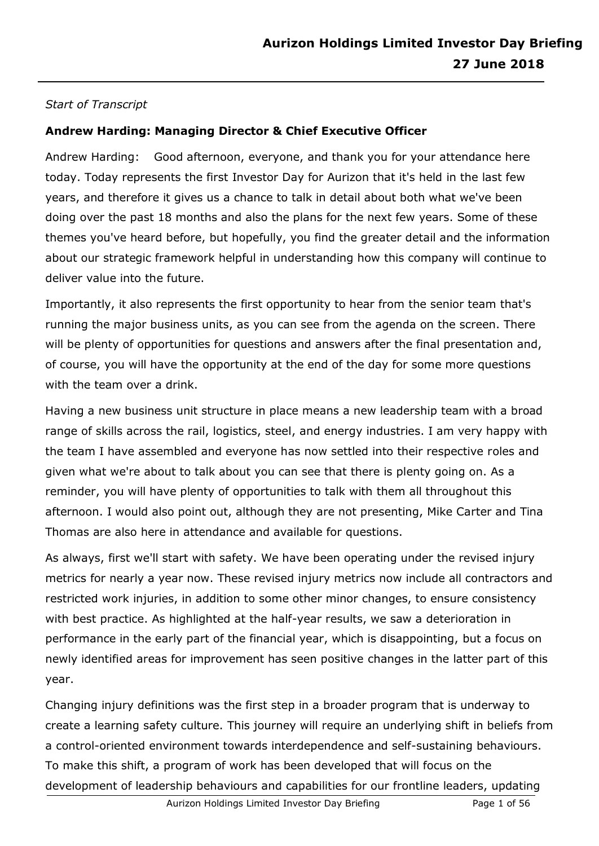# *Start of Transcript*

# **Andrew Harding: Managing Director & Chief Executive Officer**

Andrew Harding: Good afternoon, everyone, and thank you for your attendance here today. Today represents the first Investor Day for Aurizon that it's held in the last few years, and therefore it gives us a chance to talk in detail about both what we've been doing over the past 18 months and also the plans for the next few years. Some of these themes you've heard before, but hopefully, you find the greater detail and the information about our strategic framework helpful in understanding how this company will continue to deliver value into the future.

Importantly, it also represents the first opportunity to hear from the senior team that's running the major business units, as you can see from the agenda on the screen. There will be plenty of opportunities for questions and answers after the final presentation and, of course, you will have the opportunity at the end of the day for some more questions with the team over a drink.

Having a new business unit structure in place means a new leadership team with a broad range of skills across the rail, logistics, steel, and energy industries. I am very happy with the team I have assembled and everyone has now settled into their respective roles and given what we're about to talk about you can see that there is plenty going on. As a reminder, you will have plenty of opportunities to talk with them all throughout this afternoon. I would also point out, although they are not presenting, Mike Carter and Tina Thomas are also here in attendance and available for questions.

As always, first we'll start with safety. We have been operating under the revised injury metrics for nearly a year now. These revised injury metrics now include all contractors and restricted work injuries, in addition to some other minor changes, to ensure consistency with best practice. As highlighted at the half-year results, we saw a deterioration in performance in the early part of the financial year, which is disappointing, but a focus on newly identified areas for improvement has seen positive changes in the latter part of this year.

Changing injury definitions was the first step in a broader program that is underway to create a learning safety culture. This journey will require an underlying shift in beliefs from a control-oriented environment towards interdependence and self-sustaining behaviours. To make this shift, a program of work has been developed that will focus on the development of leadership behaviours and capabilities for our frontline leaders, updating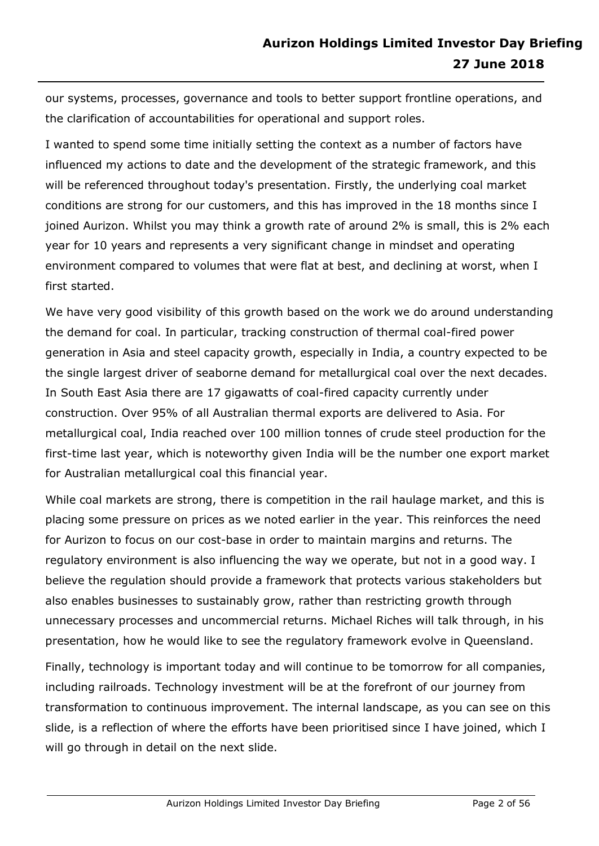our systems, processes, governance and tools to better support frontline operations, and the clarification of accountabilities for operational and support roles.

I wanted to spend some time initially setting the context as a number of factors have influenced my actions to date and the development of the strategic framework, and this will be referenced throughout today's presentation. Firstly, the underlying coal market conditions are strong for our customers, and this has improved in the 18 months since I joined Aurizon. Whilst you may think a growth rate of around 2% is small, this is 2% each year for 10 years and represents a very significant change in mindset and operating environment compared to volumes that were flat at best, and declining at worst, when I first started.

We have very good visibility of this growth based on the work we do around understanding the demand for coal. In particular, tracking construction of thermal coal-fired power generation in Asia and steel capacity growth, especially in India, a country expected to be the single largest driver of seaborne demand for metallurgical coal over the next decades. In South East Asia there are 17 gigawatts of coal-fired capacity currently under construction. Over 95% of all Australian thermal exports are delivered to Asia. For metallurgical coal, India reached over 100 million tonnes of crude steel production for the first-time last year, which is noteworthy given India will be the number one export market for Australian metallurgical coal this financial year.

While coal markets are strong, there is competition in the rail haulage market, and this is placing some pressure on prices as we noted earlier in the year. This reinforces the need for Aurizon to focus on our cost-base in order to maintain margins and returns. The regulatory environment is also influencing the way we operate, but not in a good way. I believe the regulation should provide a framework that protects various stakeholders but also enables businesses to sustainably grow, rather than restricting growth through unnecessary processes and uncommercial returns. Michael Riches will talk through, in his presentation, how he would like to see the regulatory framework evolve in Queensland.

Finally, technology is important today and will continue to be tomorrow for all companies, including railroads. Technology investment will be at the forefront of our journey from transformation to continuous improvement. The internal landscape, as you can see on this slide, is a reflection of where the efforts have been prioritised since I have joined, which I will go through in detail on the next slide.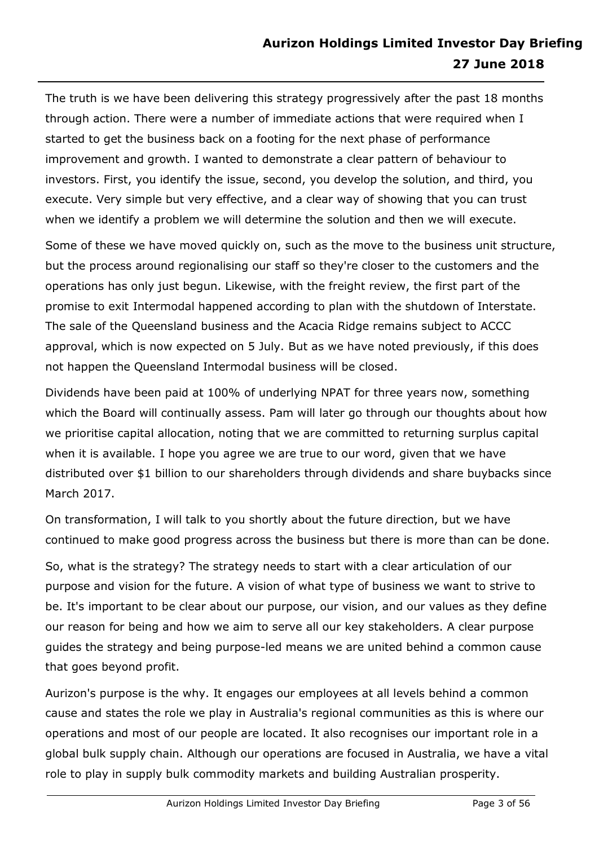The truth is we have been delivering this strategy progressively after the past 18 months through action. There were a number of immediate actions that were required when I started to get the business back on a footing for the next phase of performance improvement and growth. I wanted to demonstrate a clear pattern of behaviour to investors. First, you identify the issue, second, you develop the solution, and third, you execute. Very simple but very effective, and a clear way of showing that you can trust when we identify a problem we will determine the solution and then we will execute.

Some of these we have moved quickly on, such as the move to the business unit structure, but the process around regionalising our staff so they're closer to the customers and the operations has only just begun. Likewise, with the freight review, the first part of the promise to exit Intermodal happened according to plan with the shutdown of Interstate. The sale of the Queensland business and the Acacia Ridge remains subject to ACCC approval, which is now expected on 5 July. But as we have noted previously, if this does not happen the Queensland Intermodal business will be closed.

Dividends have been paid at 100% of underlying NPAT for three years now, something which the Board will continually assess. Pam will later go through our thoughts about how we prioritise capital allocation, noting that we are committed to returning surplus capital when it is available. I hope you agree we are true to our word, given that we have distributed over \$1 billion to our shareholders through dividends and share buybacks since March 2017.

On transformation, I will talk to you shortly about the future direction, but we have continued to make good progress across the business but there is more than can be done.

So, what is the strategy? The strategy needs to start with a clear articulation of our purpose and vision for the future. A vision of what type of business we want to strive to be. It's important to be clear about our purpose, our vision, and our values as they define our reason for being and how we aim to serve all our key stakeholders. A clear purpose guides the strategy and being purpose-led means we are united behind a common cause that goes beyond profit.

Aurizon's purpose is the why. It engages our employees at all levels behind a common cause and states the role we play in Australia's regional communities as this is where our operations and most of our people are located. It also recognises our important role in a global bulk supply chain. Although our operations are focused in Australia, we have a vital role to play in supply bulk commodity markets and building Australian prosperity.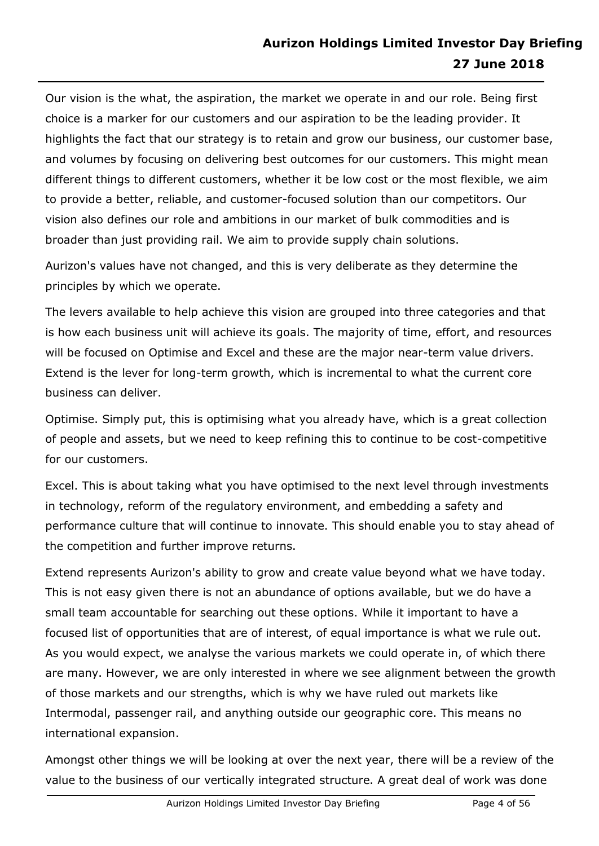Our vision is the what, the aspiration, the market we operate in and our role. Being first choice is a marker for our customers and our aspiration to be the leading provider. It highlights the fact that our strategy is to retain and grow our business, our customer base, and volumes by focusing on delivering best outcomes for our customers. This might mean different things to different customers, whether it be low cost or the most flexible, we aim to provide a better, reliable, and customer-focused solution than our competitors. Our vision also defines our role and ambitions in our market of bulk commodities and is broader than just providing rail. We aim to provide supply chain solutions.

Aurizon's values have not changed, and this is very deliberate as they determine the principles by which we operate.

The levers available to help achieve this vision are grouped into three categories and that is how each business unit will achieve its goals. The majority of time, effort, and resources will be focused on Optimise and Excel and these are the major near-term value drivers. Extend is the lever for long-term growth, which is incremental to what the current core business can deliver.

Optimise. Simply put, this is optimising what you already have, which is a great collection of people and assets, but we need to keep refining this to continue to be cost-competitive for our customers.

Excel. This is about taking what you have optimised to the next level through investments in technology, reform of the regulatory environment, and embedding a safety and performance culture that will continue to innovate. This should enable you to stay ahead of the competition and further improve returns.

Extend represents Aurizon's ability to grow and create value beyond what we have today. This is not easy given there is not an abundance of options available, but we do have a small team accountable for searching out these options. While it important to have a focused list of opportunities that are of interest, of equal importance is what we rule out. As you would expect, we analyse the various markets we could operate in, of which there are many. However, we are only interested in where we see alignment between the growth of those markets and our strengths, which is why we have ruled out markets like Intermodal, passenger rail, and anything outside our geographic core. This means no international expansion.

Amongst other things we will be looking at over the next year, there will be a review of the value to the business of our vertically integrated structure. A great deal of work was done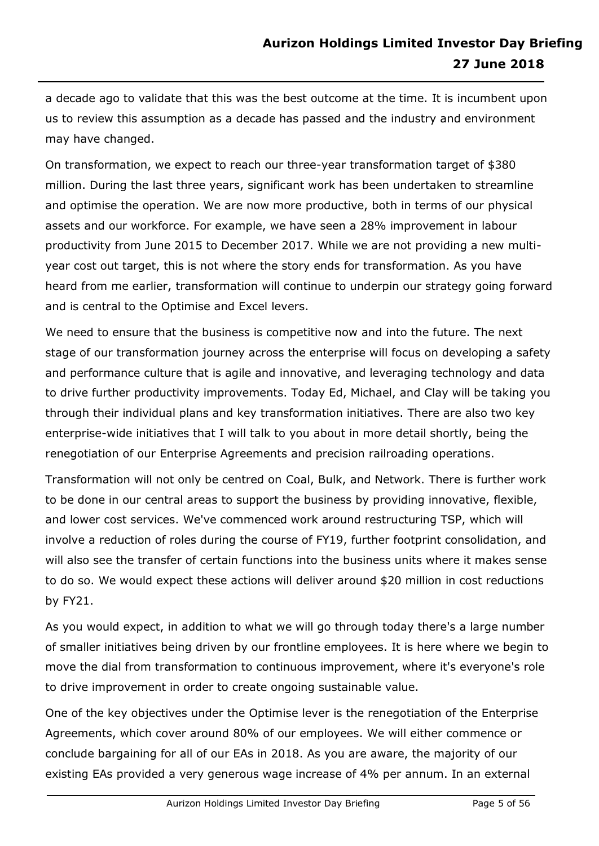a decade ago to validate that this was the best outcome at the time. It is incumbent upon us to review this assumption as a decade has passed and the industry and environment may have changed.

On transformation, we expect to reach our three-year transformation target of \$380 million. During the last three years, significant work has been undertaken to streamline and optimise the operation. We are now more productive, both in terms of our physical assets and our workforce. For example, we have seen a 28% improvement in labour productivity from June 2015 to December 2017. While we are not providing a new multiyear cost out target, this is not where the story ends for transformation. As you have heard from me earlier, transformation will continue to underpin our strategy going forward and is central to the Optimise and Excel levers.

We need to ensure that the business is competitive now and into the future. The next stage of our transformation journey across the enterprise will focus on developing a safety and performance culture that is agile and innovative, and leveraging technology and data to drive further productivity improvements. Today Ed, Michael, and Clay will be taking you through their individual plans and key transformation initiatives. There are also two key enterprise-wide initiatives that I will talk to you about in more detail shortly, being the renegotiation of our Enterprise Agreements and precision railroading operations.

Transformation will not only be centred on Coal, Bulk, and Network. There is further work to be done in our central areas to support the business by providing innovative, flexible, and lower cost services. We've commenced work around restructuring TSP, which will involve a reduction of roles during the course of FY19, further footprint consolidation, and will also see the transfer of certain functions into the business units where it makes sense to do so. We would expect these actions will deliver around \$20 million in cost reductions by FY21.

As you would expect, in addition to what we will go through today there's a large number of smaller initiatives being driven by our frontline employees. It is here where we begin to move the dial from transformation to continuous improvement, where it's everyone's role to drive improvement in order to create ongoing sustainable value.

One of the key objectives under the Optimise lever is the renegotiation of the Enterprise Agreements, which cover around 80% of our employees. We will either commence or conclude bargaining for all of our EAs in 2018. As you are aware, the majority of our existing EAs provided a very generous wage increase of 4% per annum. In an external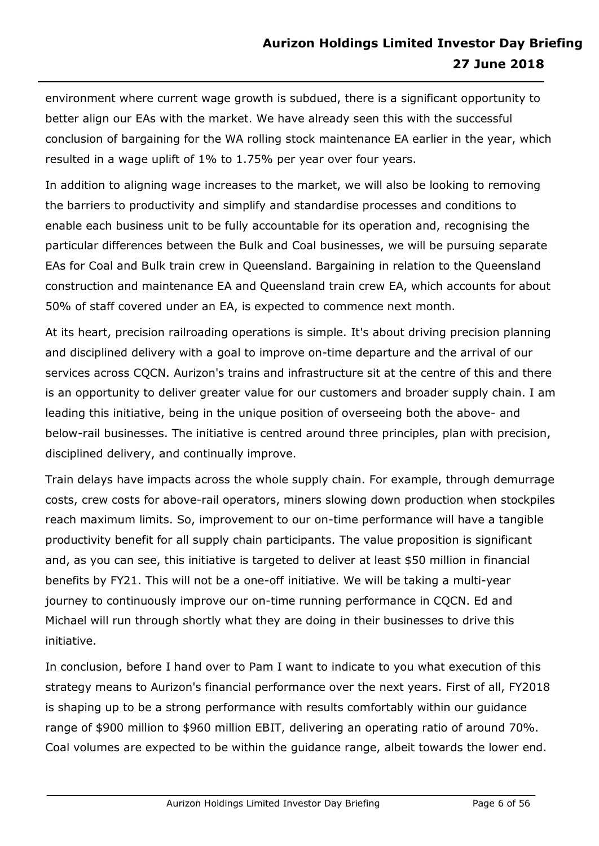environment where current wage growth is subdued, there is a significant opportunity to better align our EAs with the market. We have already seen this with the successful conclusion of bargaining for the WA rolling stock maintenance EA earlier in the year, which resulted in a wage uplift of 1% to 1.75% per year over four years.

In addition to aligning wage increases to the market, we will also be looking to removing the barriers to productivity and simplify and standardise processes and conditions to enable each business unit to be fully accountable for its operation and, recognising the particular differences between the Bulk and Coal businesses, we will be pursuing separate EAs for Coal and Bulk train crew in Queensland. Bargaining in relation to the Queensland construction and maintenance EA and Queensland train crew EA, which accounts for about 50% of staff covered under an EA, is expected to commence next month.

At its heart, precision railroading operations is simple. It's about driving precision planning and disciplined delivery with a goal to improve on-time departure and the arrival of our services across CQCN. Aurizon's trains and infrastructure sit at the centre of this and there is an opportunity to deliver greater value for our customers and broader supply chain. I am leading this initiative, being in the unique position of overseeing both the above- and below-rail businesses. The initiative is centred around three principles, plan with precision, disciplined delivery, and continually improve.

Train delays have impacts across the whole supply chain. For example, through demurrage costs, crew costs for above-rail operators, miners slowing down production when stockpiles reach maximum limits. So, improvement to our on-time performance will have a tangible productivity benefit for all supply chain participants. The value proposition is significant and, as you can see, this initiative is targeted to deliver at least \$50 million in financial benefits by FY21. This will not be a one-off initiative. We will be taking a multi-year journey to continuously improve our on-time running performance in CQCN. Ed and Michael will run through shortly what they are doing in their businesses to drive this initiative.

In conclusion, before I hand over to Pam I want to indicate to you what execution of this strategy means to Aurizon's financial performance over the next years. First of all, FY2018 is shaping up to be a strong performance with results comfortably within our guidance range of \$900 million to \$960 million EBIT, delivering an operating ratio of around 70%. Coal volumes are expected to be within the guidance range, albeit towards the lower end.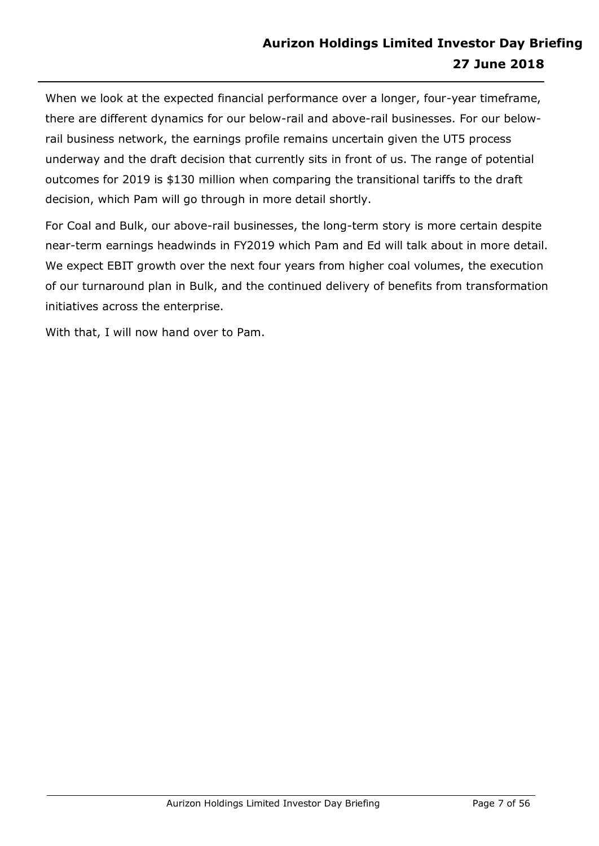When we look at the expected financial performance over a longer, four-year timeframe, there are different dynamics for our below-rail and above-rail businesses. For our belowrail business network, the earnings profile remains uncertain given the UT5 process underway and the draft decision that currently sits in front of us. The range of potential outcomes for 2019 is \$130 million when comparing the transitional tariffs to the draft decision, which Pam will go through in more detail shortly.

For Coal and Bulk, our above-rail businesses, the long-term story is more certain despite near-term earnings headwinds in FY2019 which Pam and Ed will talk about in more detail. We expect EBIT growth over the next four years from higher coal volumes, the execution of our turnaround plan in Bulk, and the continued delivery of benefits from transformation initiatives across the enterprise.

With that, I will now hand over to Pam.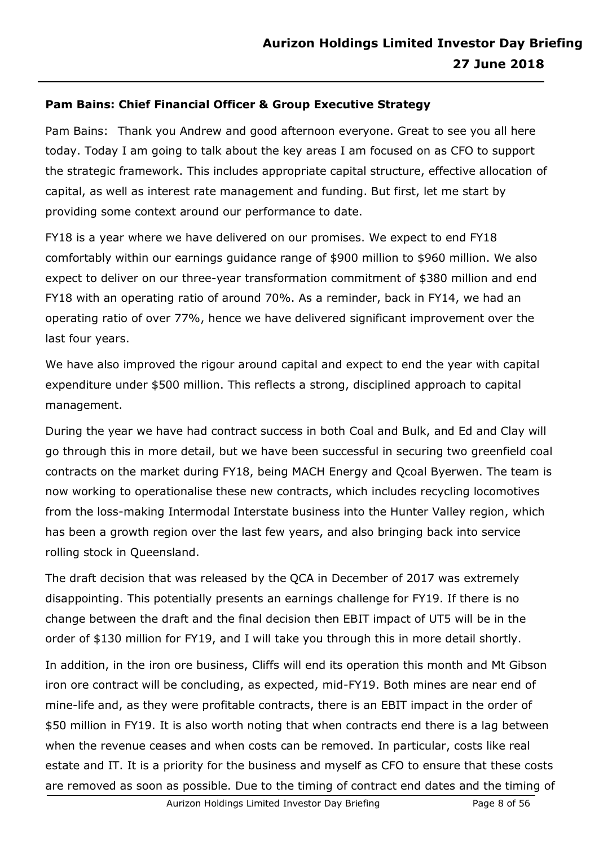# **Pam Bains: Chief Financial Officer & Group Executive Strategy**

Pam Bains: Thank you Andrew and good afternoon everyone. Great to see you all here today. Today I am going to talk about the key areas I am focused on as CFO to support the strategic framework. This includes appropriate capital structure, effective allocation of capital, as well as interest rate management and funding. But first, let me start by providing some context around our performance to date.

FY18 is a year where we have delivered on our promises. We expect to end FY18 comfortably within our earnings guidance range of \$900 million to \$960 million. We also expect to deliver on our three-year transformation commitment of \$380 million and end FY18 with an operating ratio of around 70%. As a reminder, back in FY14, we had an operating ratio of over 77%, hence we have delivered significant improvement over the last four years.

We have also improved the rigour around capital and expect to end the year with capital expenditure under \$500 million. This reflects a strong, disciplined approach to capital management.

During the year we have had contract success in both Coal and Bulk, and Ed and Clay will go through this in more detail, but we have been successful in securing two greenfield coal contracts on the market during FY18, being MACH Energy and Qcoal Byerwen. The team is now working to operationalise these new contracts, which includes recycling locomotives from the loss-making Intermodal Interstate business into the Hunter Valley region, which has been a growth region over the last few years, and also bringing back into service rolling stock in Queensland.

The draft decision that was released by the QCA in December of 2017 was extremely disappointing. This potentially presents an earnings challenge for FY19. If there is no change between the draft and the final decision then EBIT impact of UT5 will be in the order of \$130 million for FY19, and I will take you through this in more detail shortly.

In addition, in the iron ore business, Cliffs will end its operation this month and Mt Gibson iron ore contract will be concluding, as expected, mid-FY19. Both mines are near end of mine-life and, as they were profitable contracts, there is an EBIT impact in the order of \$50 million in FY19. It is also worth noting that when contracts end there is a lag between when the revenue ceases and when costs can be removed. In particular, costs like real estate and IT. It is a priority for the business and myself as CFO to ensure that these costs are removed as soon as possible. Due to the timing of contract end dates and the timing of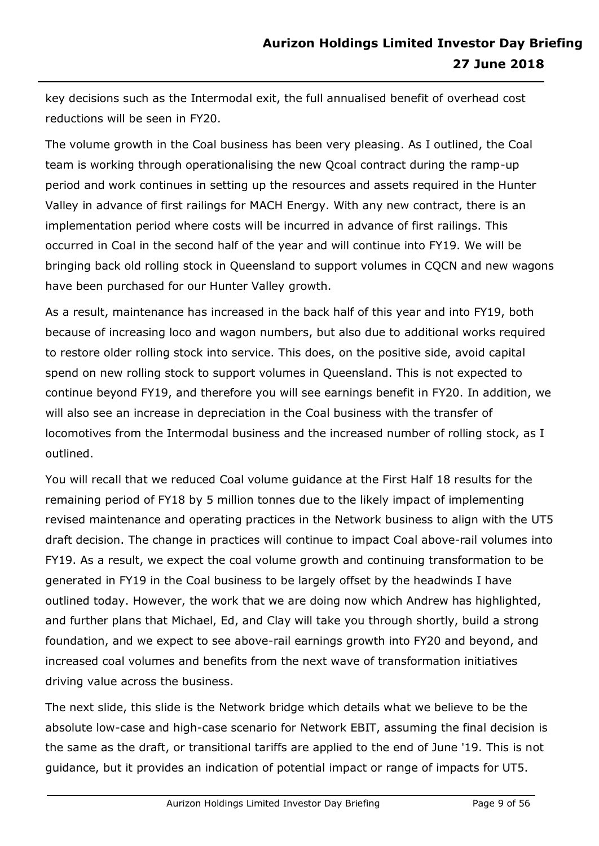key decisions such as the Intermodal exit, the full annualised benefit of overhead cost reductions will be seen in FY20.

The volume growth in the Coal business has been very pleasing. As I outlined, the Coal team is working through operationalising the new Qcoal contract during the ramp-up period and work continues in setting up the resources and assets required in the Hunter Valley in advance of first railings for MACH Energy. With any new contract, there is an implementation period where costs will be incurred in advance of first railings. This occurred in Coal in the second half of the year and will continue into FY19. We will be bringing back old rolling stock in Queensland to support volumes in CQCN and new wagons have been purchased for our Hunter Valley growth.

As a result, maintenance has increased in the back half of this year and into FY19, both because of increasing loco and wagon numbers, but also due to additional works required to restore older rolling stock into service. This does, on the positive side, avoid capital spend on new rolling stock to support volumes in Queensland. This is not expected to continue beyond FY19, and therefore you will see earnings benefit in FY20. In addition, we will also see an increase in depreciation in the Coal business with the transfer of locomotives from the Intermodal business and the increased number of rolling stock, as I outlined.

You will recall that we reduced Coal volume guidance at the First Half 18 results for the remaining period of FY18 by 5 million tonnes due to the likely impact of implementing revised maintenance and operating practices in the Network business to align with the UT5 draft decision. The change in practices will continue to impact Coal above-rail volumes into FY19. As a result, we expect the coal volume growth and continuing transformation to be generated in FY19 in the Coal business to be largely offset by the headwinds I have outlined today. However, the work that we are doing now which Andrew has highlighted, and further plans that Michael, Ed, and Clay will take you through shortly, build a strong foundation, and we expect to see above-rail earnings growth into FY20 and beyond, and increased coal volumes and benefits from the next wave of transformation initiatives driving value across the business.

The next slide, this slide is the Network bridge which details what we believe to be the absolute low-case and high-case scenario for Network EBIT, assuming the final decision is the same as the draft, or transitional tariffs are applied to the end of June '19. This is not guidance, but it provides an indication of potential impact or range of impacts for UT5.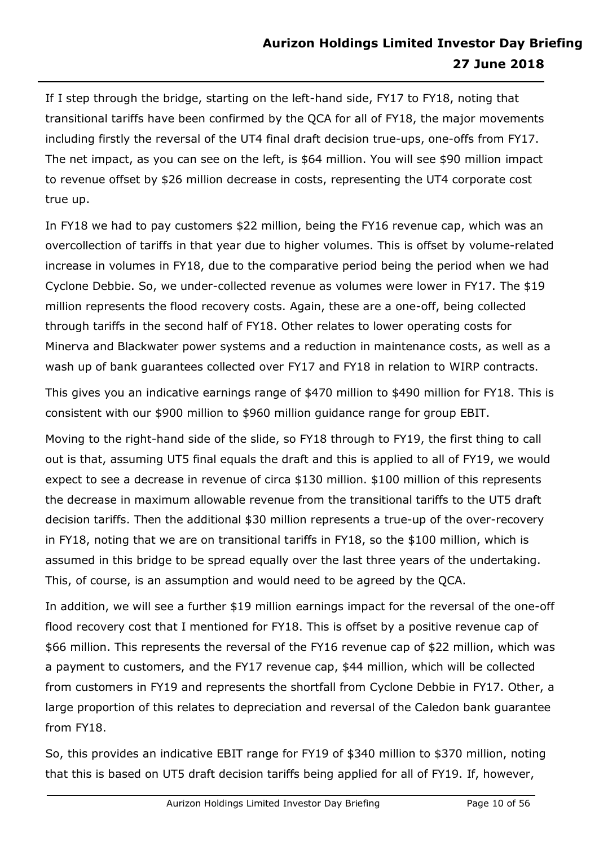If I step through the bridge, starting on the left-hand side, FY17 to FY18, noting that transitional tariffs have been confirmed by the QCA for all of FY18, the major movements including firstly the reversal of the UT4 final draft decision true-ups, one-offs from FY17. The net impact, as you can see on the left, is \$64 million. You will see \$90 million impact to revenue offset by \$26 million decrease in costs, representing the UT4 corporate cost true up.

In FY18 we had to pay customers \$22 million, being the FY16 revenue cap, which was an overcollection of tariffs in that year due to higher volumes. This is offset by volume-related increase in volumes in FY18, due to the comparative period being the period when we had Cyclone Debbie. So, we under-collected revenue as volumes were lower in FY17. The \$19 million represents the flood recovery costs. Again, these are a one-off, being collected through tariffs in the second half of FY18. Other relates to lower operating costs for Minerva and Blackwater power systems and a reduction in maintenance costs, as well as a wash up of bank guarantees collected over FY17 and FY18 in relation to WIRP contracts.

This gives you an indicative earnings range of \$470 million to \$490 million for FY18. This is consistent with our \$900 million to \$960 million guidance range for group EBIT.

Moving to the right-hand side of the slide, so FY18 through to FY19, the first thing to call out is that, assuming UT5 final equals the draft and this is applied to all of FY19, we would expect to see a decrease in revenue of circa \$130 million. \$100 million of this represents the decrease in maximum allowable revenue from the transitional tariffs to the UT5 draft decision tariffs. Then the additional \$30 million represents a true-up of the over-recovery in FY18, noting that we are on transitional tariffs in FY18, so the \$100 million, which is assumed in this bridge to be spread equally over the last three years of the undertaking. This, of course, is an assumption and would need to be agreed by the QCA.

In addition, we will see a further \$19 million earnings impact for the reversal of the one-off flood recovery cost that I mentioned for FY18. This is offset by a positive revenue cap of \$66 million. This represents the reversal of the FY16 revenue cap of \$22 million, which was a payment to customers, and the FY17 revenue cap, \$44 million, which will be collected from customers in FY19 and represents the shortfall from Cyclone Debbie in FY17. Other, a large proportion of this relates to depreciation and reversal of the Caledon bank guarantee from FY18.

So, this provides an indicative EBIT range for FY19 of \$340 million to \$370 million, noting that this is based on UT5 draft decision tariffs being applied for all of FY19. If, however,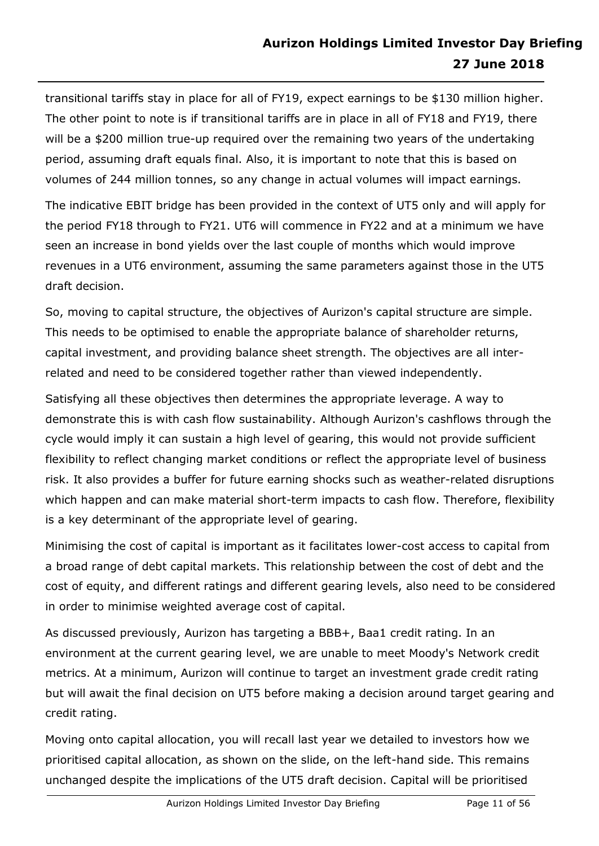transitional tariffs stay in place for all of FY19, expect earnings to be \$130 million higher. The other point to note is if transitional tariffs are in place in all of FY18 and FY19, there will be a \$200 million true-up required over the remaining two years of the undertaking period, assuming draft equals final. Also, it is important to note that this is based on volumes of 244 million tonnes, so any change in actual volumes will impact earnings.

The indicative EBIT bridge has been provided in the context of UT5 only and will apply for the period FY18 through to FY21. UT6 will commence in FY22 and at a minimum we have seen an increase in bond yields over the last couple of months which would improve revenues in a UT6 environment, assuming the same parameters against those in the UT5 draft decision.

So, moving to capital structure, the objectives of Aurizon's capital structure are simple. This needs to be optimised to enable the appropriate balance of shareholder returns, capital investment, and providing balance sheet strength. The objectives are all interrelated and need to be considered together rather than viewed independently.

Satisfying all these objectives then determines the appropriate leverage. A way to demonstrate this is with cash flow sustainability. Although Aurizon's cashflows through the cycle would imply it can sustain a high level of gearing, this would not provide sufficient flexibility to reflect changing market conditions or reflect the appropriate level of business risk. It also provides a buffer for future earning shocks such as weather-related disruptions which happen and can make material short-term impacts to cash flow. Therefore, flexibility is a key determinant of the appropriate level of gearing.

Minimising the cost of capital is important as it facilitates lower-cost access to capital from a broad range of debt capital markets. This relationship between the cost of debt and the cost of equity, and different ratings and different gearing levels, also need to be considered in order to minimise weighted average cost of capital.

As discussed previously, Aurizon has targeting a BBB+, Baa1 credit rating. In an environment at the current gearing level, we are unable to meet Moody's Network credit metrics. At a minimum, Aurizon will continue to target an investment grade credit rating but will await the final decision on UT5 before making a decision around target gearing and credit rating.

Moving onto capital allocation, you will recall last year we detailed to investors how we prioritised capital allocation, as shown on the slide, on the left-hand side. This remains unchanged despite the implications of the UT5 draft decision. Capital will be prioritised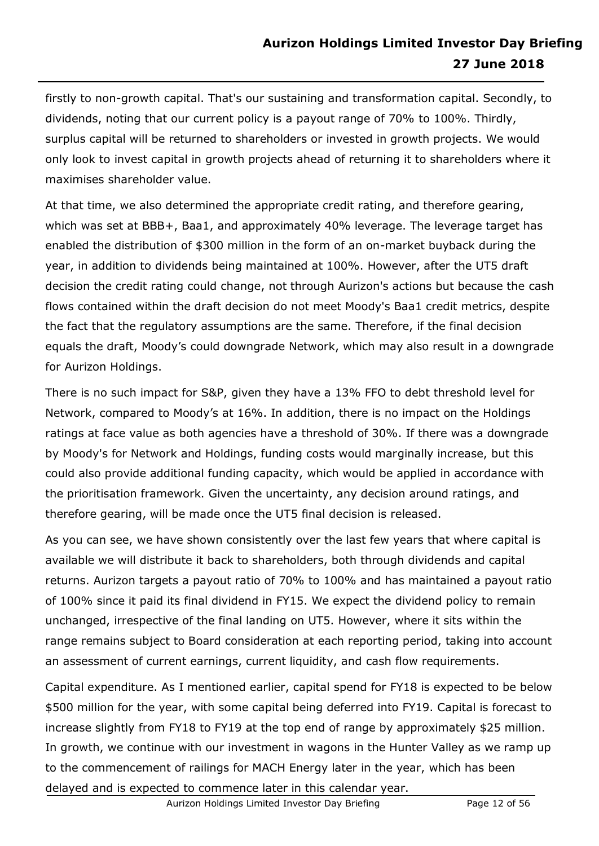firstly to non-growth capital. That's our sustaining and transformation capital. Secondly, to dividends, noting that our current policy is a payout range of 70% to 100%. Thirdly, surplus capital will be returned to shareholders or invested in growth projects. We would only look to invest capital in growth projects ahead of returning it to shareholders where it maximises shareholder value.

At that time, we also determined the appropriate credit rating, and therefore gearing, which was set at BBB+, Baa1, and approximately 40% leverage. The leverage target has enabled the distribution of \$300 million in the form of an on-market buyback during the year, in addition to dividends being maintained at 100%. However, after the UT5 draft decision the credit rating could change, not through Aurizon's actions but because the cash flows contained within the draft decision do not meet Moody's Baa1 credit metrics, despite the fact that the regulatory assumptions are the same. Therefore, if the final decision equals the draft, Moody's could downgrade Network, which may also result in a downgrade for Aurizon Holdings.

There is no such impact for S&P, given they have a 13% FFO to debt threshold level for Network, compared to Moody's at 16%. In addition, there is no impact on the Holdings ratings at face value as both agencies have a threshold of 30%. If there was a downgrade by Moody's for Network and Holdings, funding costs would marginally increase, but this could also provide additional funding capacity, which would be applied in accordance with the prioritisation framework. Given the uncertainty, any decision around ratings, and therefore gearing, will be made once the UT5 final decision is released.

As you can see, we have shown consistently over the last few years that where capital is available we will distribute it back to shareholders, both through dividends and capital returns. Aurizon targets a payout ratio of 70% to 100% and has maintained a payout ratio of 100% since it paid its final dividend in FY15. We expect the dividend policy to remain unchanged, irrespective of the final landing on UT5. However, where it sits within the range remains subject to Board consideration at each reporting period, taking into account an assessment of current earnings, current liquidity, and cash flow requirements.

Capital expenditure. As I mentioned earlier, capital spend for FY18 is expected to be below \$500 million for the year, with some capital being deferred into FY19. Capital is forecast to increase slightly from FY18 to FY19 at the top end of range by approximately \$25 million. In growth, we continue with our investment in wagons in the Hunter Valley as we ramp up to the commencement of railings for MACH Energy later in the year, which has been delayed and is expected to commence later in this calendar year.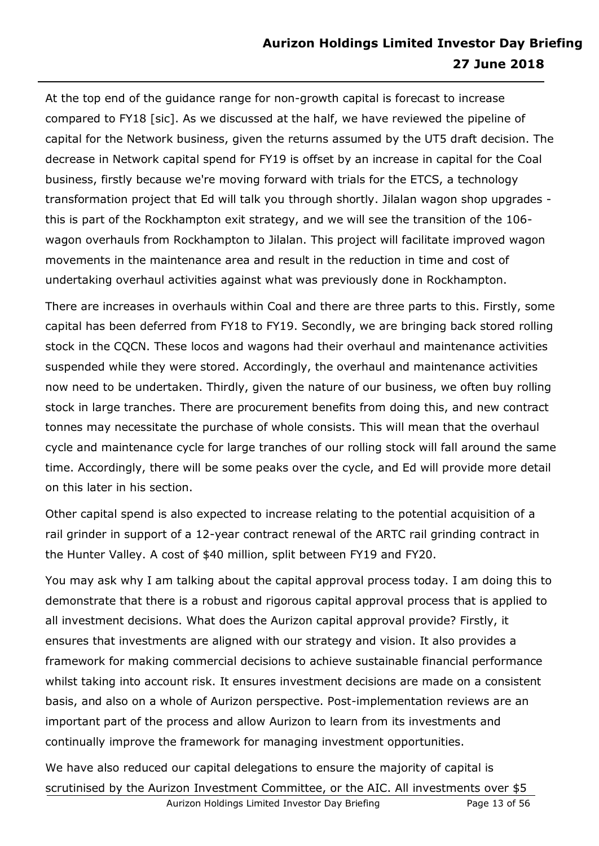# **Aurizon Holdings Limited Investor Day Briefing 27 June 2018**

At the top end of the guidance range for non-growth capital is forecast to increase compared to FY18 [sic]. As we discussed at the half, we have reviewed the pipeline of capital for the Network business, given the returns assumed by the UT5 draft decision. The decrease in Network capital spend for FY19 is offset by an increase in capital for the Coal business, firstly because we're moving forward with trials for the ETCS, a technology transformation project that Ed will talk you through shortly. Jilalan wagon shop upgrades this is part of the Rockhampton exit strategy, and we will see the transition of the 106 wagon overhauls from Rockhampton to Jilalan. This project will facilitate improved wagon movements in the maintenance area and result in the reduction in time and cost of undertaking overhaul activities against what was previously done in Rockhampton.

There are increases in overhauls within Coal and there are three parts to this. Firstly, some capital has been deferred from FY18 to FY19. Secondly, we are bringing back stored rolling stock in the CQCN. These locos and wagons had their overhaul and maintenance activities suspended while they were stored. Accordingly, the overhaul and maintenance activities now need to be undertaken. Thirdly, given the nature of our business, we often buy rolling stock in large tranches. There are procurement benefits from doing this, and new contract tonnes may necessitate the purchase of whole consists. This will mean that the overhaul cycle and maintenance cycle for large tranches of our rolling stock will fall around the same time. Accordingly, there will be some peaks over the cycle, and Ed will provide more detail on this later in his section.

Other capital spend is also expected to increase relating to the potential acquisition of a rail grinder in support of a 12-year contract renewal of the ARTC rail grinding contract in the Hunter Valley. A cost of \$40 million, split between FY19 and FY20.

You may ask why I am talking about the capital approval process today. I am doing this to demonstrate that there is a robust and rigorous capital approval process that is applied to all investment decisions. What does the Aurizon capital approval provide? Firstly, it ensures that investments are aligned with our strategy and vision. It also provides a framework for making commercial decisions to achieve sustainable financial performance whilst taking into account risk. It ensures investment decisions are made on a consistent basis, and also on a whole of Aurizon perspective. Post-implementation reviews are an important part of the process and allow Aurizon to learn from its investments and continually improve the framework for managing investment opportunities.

We have also reduced our capital delegations to ensure the majority of capital is scrutinised by the Aurizon Investment Committee, or the AIC. All investments over \$5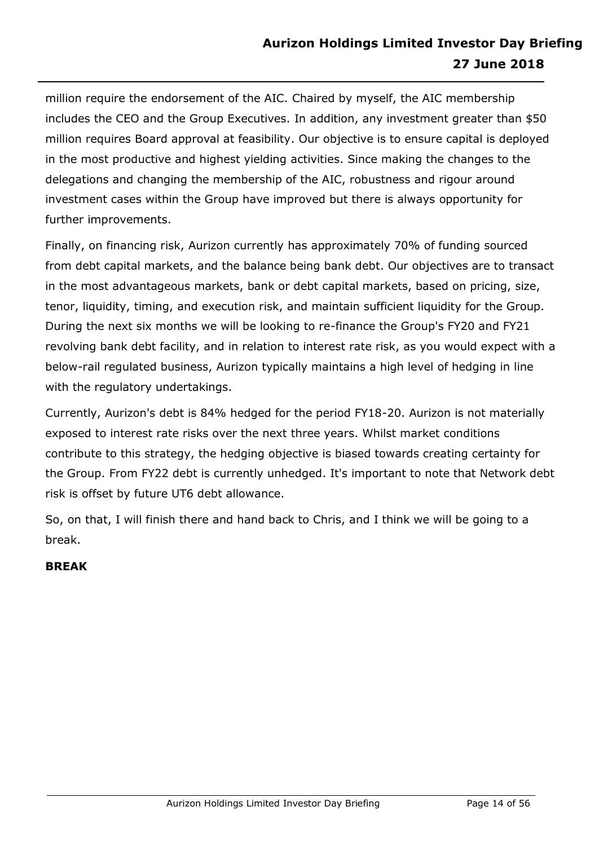million require the endorsement of the AIC. Chaired by myself, the AIC membership includes the CEO and the Group Executives. In addition, any investment greater than \$50 million requires Board approval at feasibility. Our objective is to ensure capital is deployed in the most productive and highest yielding activities. Since making the changes to the delegations and changing the membership of the AIC, robustness and rigour around investment cases within the Group have improved but there is always opportunity for further improvements.

Finally, on financing risk, Aurizon currently has approximately 70% of funding sourced from debt capital markets, and the balance being bank debt. Our objectives are to transact in the most advantageous markets, bank or debt capital markets, based on pricing, size, tenor, liquidity, timing, and execution risk, and maintain sufficient liquidity for the Group. During the next six months we will be looking to re-finance the Group's FY20 and FY21 revolving bank debt facility, and in relation to interest rate risk, as you would expect with a below-rail regulated business, Aurizon typically maintains a high level of hedging in line with the regulatory undertakings.

Currently, Aurizon's debt is 84% hedged for the period FY18-20. Aurizon is not materially exposed to interest rate risks over the next three years. Whilst market conditions contribute to this strategy, the hedging objective is biased towards creating certainty for the Group. From FY22 debt is currently unhedged. It's important to note that Network debt risk is offset by future UT6 debt allowance.

So, on that, I will finish there and hand back to Chris, and I think we will be going to a break.

# **BREAK**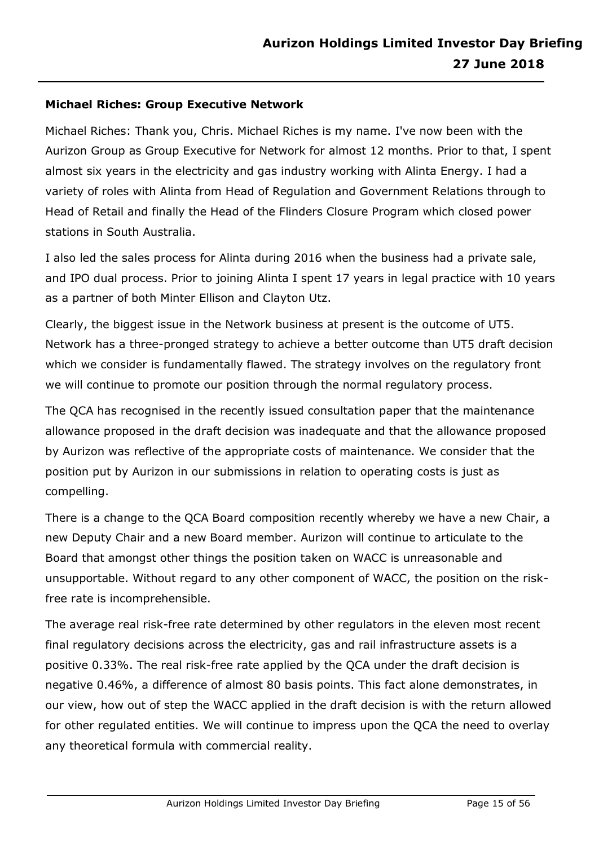#### **Michael Riches: Group Executive Network**

Michael Riches: Thank you, Chris. Michael Riches is my name. I've now been with the Aurizon Group as Group Executive for Network for almost 12 months. Prior to that, I spent almost six years in the electricity and gas industry working with Alinta Energy. I had a variety of roles with Alinta from Head of Regulation and Government Relations through to Head of Retail and finally the Head of the Flinders Closure Program which closed power stations in South Australia.

I also led the sales process for Alinta during 2016 when the business had a private sale, and IPO dual process. Prior to joining Alinta I spent 17 years in legal practice with 10 years as a partner of both Minter Ellison and Clayton Utz.

Clearly, the biggest issue in the Network business at present is the outcome of UT5. Network has a three-pronged strategy to achieve a better outcome than UT5 draft decision which we consider is fundamentally flawed. The strategy involves on the regulatory front we will continue to promote our position through the normal regulatory process.

The QCA has recognised in the recently issued consultation paper that the maintenance allowance proposed in the draft decision was inadequate and that the allowance proposed by Aurizon was reflective of the appropriate costs of maintenance. We consider that the position put by Aurizon in our submissions in relation to operating costs is just as compelling.

There is a change to the QCA Board composition recently whereby we have a new Chair, a new Deputy Chair and a new Board member. Aurizon will continue to articulate to the Board that amongst other things the position taken on WACC is unreasonable and unsupportable. Without regard to any other component of WACC, the position on the riskfree rate is incomprehensible.

The average real risk-free rate determined by other regulators in the eleven most recent final regulatory decisions across the electricity, gas and rail infrastructure assets is a positive 0.33%. The real risk-free rate applied by the QCA under the draft decision is negative 0.46%, a difference of almost 80 basis points. This fact alone demonstrates, in our view, how out of step the WACC applied in the draft decision is with the return allowed for other regulated entities. We will continue to impress upon the QCA the need to overlay any theoretical formula with commercial reality.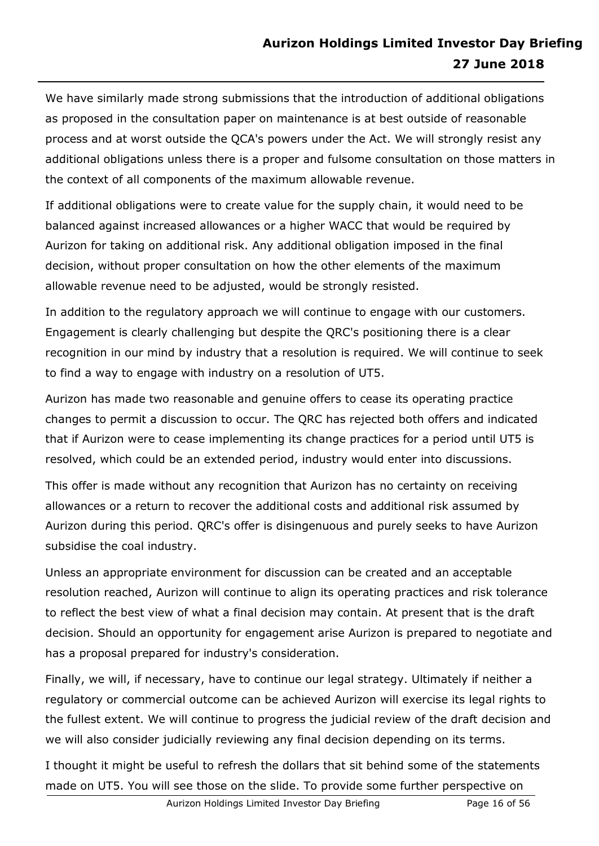We have similarly made strong submissions that the introduction of additional obligations as proposed in the consultation paper on maintenance is at best outside of reasonable process and at worst outside the QCA's powers under the Act. We will strongly resist any additional obligations unless there is a proper and fulsome consultation on those matters in the context of all components of the maximum allowable revenue.

If additional obligations were to create value for the supply chain, it would need to be balanced against increased allowances or a higher WACC that would be required by Aurizon for taking on additional risk. Any additional obligation imposed in the final decision, without proper consultation on how the other elements of the maximum allowable revenue need to be adjusted, would be strongly resisted.

In addition to the regulatory approach we will continue to engage with our customers. Engagement is clearly challenging but despite the QRC's positioning there is a clear recognition in our mind by industry that a resolution is required. We will continue to seek to find a way to engage with industry on a resolution of UT5.

Aurizon has made two reasonable and genuine offers to cease its operating practice changes to permit a discussion to occur. The QRC has rejected both offers and indicated that if Aurizon were to cease implementing its change practices for a period until UT5 is resolved, which could be an extended period, industry would enter into discussions.

This offer is made without any recognition that Aurizon has no certainty on receiving allowances or a return to recover the additional costs and additional risk assumed by Aurizon during this period. QRC's offer is disingenuous and purely seeks to have Aurizon subsidise the coal industry.

Unless an appropriate environment for discussion can be created and an acceptable resolution reached, Aurizon will continue to align its operating practices and risk tolerance to reflect the best view of what a final decision may contain. At present that is the draft decision. Should an opportunity for engagement arise Aurizon is prepared to negotiate and has a proposal prepared for industry's consideration.

Finally, we will, if necessary, have to continue our legal strategy. Ultimately if neither a regulatory or commercial outcome can be achieved Aurizon will exercise its legal rights to the fullest extent. We will continue to progress the judicial review of the draft decision and we will also consider judicially reviewing any final decision depending on its terms.

I thought it might be useful to refresh the dollars that sit behind some of the statements made on UT5. You will see those on the slide. To provide some further perspective on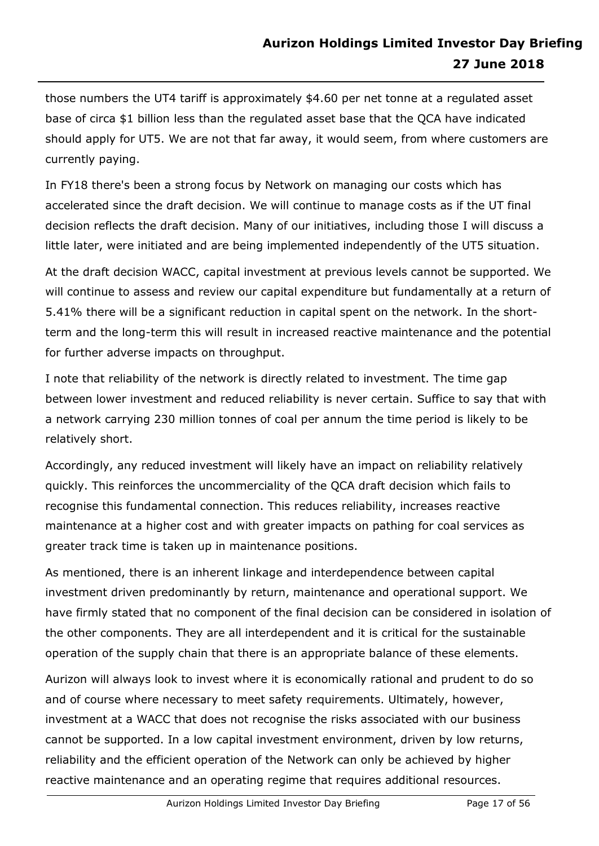those numbers the UT4 tariff is approximately \$4.60 per net tonne at a regulated asset base of circa \$1 billion less than the regulated asset base that the QCA have indicated should apply for UT5. We are not that far away, it would seem, from where customers are currently paying.

In FY18 there's been a strong focus by Network on managing our costs which has accelerated since the draft decision. We will continue to manage costs as if the UT final decision reflects the draft decision. Many of our initiatives, including those I will discuss a little later, were initiated and are being implemented independently of the UT5 situation.

At the draft decision WACC, capital investment at previous levels cannot be supported. We will continue to assess and review our capital expenditure but fundamentally at a return of 5.41% there will be a significant reduction in capital spent on the network. In the shortterm and the long-term this will result in increased reactive maintenance and the potential for further adverse impacts on throughput.

I note that reliability of the network is directly related to investment. The time gap between lower investment and reduced reliability is never certain. Suffice to say that with a network carrying 230 million tonnes of coal per annum the time period is likely to be relatively short.

Accordingly, any reduced investment will likely have an impact on reliability relatively quickly. This reinforces the uncommerciality of the QCA draft decision which fails to recognise this fundamental connection. This reduces reliability, increases reactive maintenance at a higher cost and with greater impacts on pathing for coal services as greater track time is taken up in maintenance positions.

As mentioned, there is an inherent linkage and interdependence between capital investment driven predominantly by return, maintenance and operational support. We have firmly stated that no component of the final decision can be considered in isolation of the other components. They are all interdependent and it is critical for the sustainable operation of the supply chain that there is an appropriate balance of these elements.

Aurizon will always look to invest where it is economically rational and prudent to do so and of course where necessary to meet safety requirements. Ultimately, however, investment at a WACC that does not recognise the risks associated with our business cannot be supported. In a low capital investment environment, driven by low returns, reliability and the efficient operation of the Network can only be achieved by higher reactive maintenance and an operating regime that requires additional resources.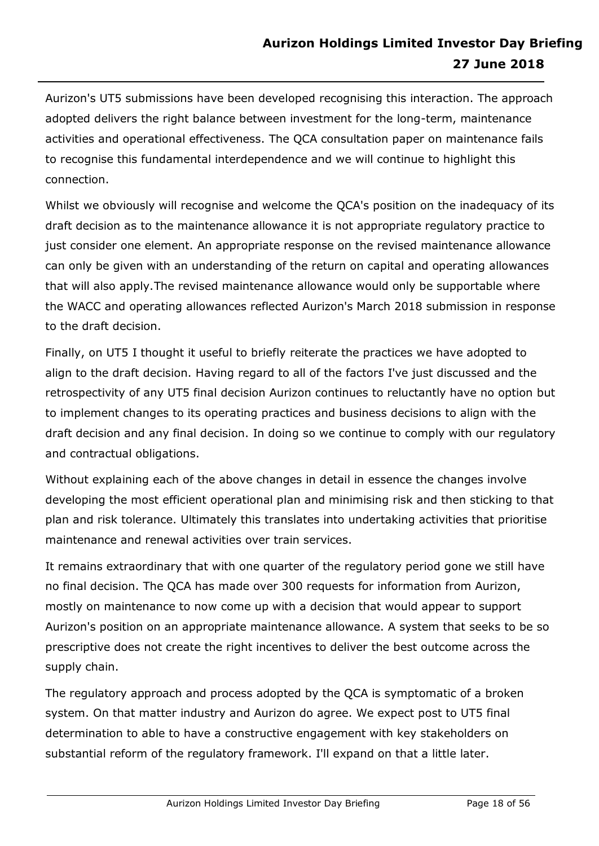Aurizon's UT5 submissions have been developed recognising this interaction. The approach adopted delivers the right balance between investment for the long-term, maintenance activities and operational effectiveness. The QCA consultation paper on maintenance fails to recognise this fundamental interdependence and we will continue to highlight this connection.

Whilst we obviously will recognise and welcome the QCA's position on the inadequacy of its draft decision as to the maintenance allowance it is not appropriate regulatory practice to just consider one element. An appropriate response on the revised maintenance allowance can only be given with an understanding of the return on capital and operating allowances that will also apply.The revised maintenance allowance would only be supportable where the WACC and operating allowances reflected Aurizon's March 2018 submission in response to the draft decision.

Finally, on UT5 I thought it useful to briefly reiterate the practices we have adopted to align to the draft decision. Having regard to all of the factors I've just discussed and the retrospectivity of any UT5 final decision Aurizon continues to reluctantly have no option but to implement changes to its operating practices and business decisions to align with the draft decision and any final decision. In doing so we continue to comply with our regulatory and contractual obligations.

Without explaining each of the above changes in detail in essence the changes involve developing the most efficient operational plan and minimising risk and then sticking to that plan and risk tolerance. Ultimately this translates into undertaking activities that prioritise maintenance and renewal activities over train services.

It remains extraordinary that with one quarter of the regulatory period gone we still have no final decision. The QCA has made over 300 requests for information from Aurizon, mostly on maintenance to now come up with a decision that would appear to support Aurizon's position on an appropriate maintenance allowance. A system that seeks to be so prescriptive does not create the right incentives to deliver the best outcome across the supply chain.

The regulatory approach and process adopted by the QCA is symptomatic of a broken system. On that matter industry and Aurizon do agree. We expect post to UT5 final determination to able to have a constructive engagement with key stakeholders on substantial reform of the regulatory framework. I'll expand on that a little later.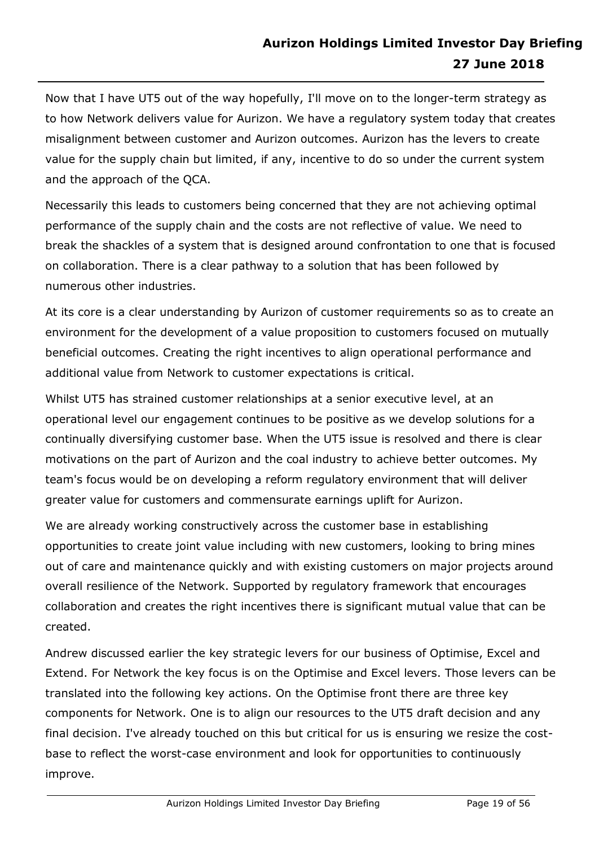Now that I have UT5 out of the way hopefully, I'll move on to the longer-term strategy as to how Network delivers value for Aurizon. We have a regulatory system today that creates misalignment between customer and Aurizon outcomes. Aurizon has the levers to create value for the supply chain but limited, if any, incentive to do so under the current system and the approach of the QCA.

Necessarily this leads to customers being concerned that they are not achieving optimal performance of the supply chain and the costs are not reflective of value. We need to break the shackles of a system that is designed around confrontation to one that is focused on collaboration. There is a clear pathway to a solution that has been followed by numerous other industries.

At its core is a clear understanding by Aurizon of customer requirements so as to create an environment for the development of a value proposition to customers focused on mutually beneficial outcomes. Creating the right incentives to align operational performance and additional value from Network to customer expectations is critical.

Whilst UT5 has strained customer relationships at a senior executive level, at an operational level our engagement continues to be positive as we develop solutions for a continually diversifying customer base. When the UT5 issue is resolved and there is clear motivations on the part of Aurizon and the coal industry to achieve better outcomes. My team's focus would be on developing a reform regulatory environment that will deliver greater value for customers and commensurate earnings uplift for Aurizon.

We are already working constructively across the customer base in establishing opportunities to create joint value including with new customers, looking to bring mines out of care and maintenance quickly and with existing customers on major projects around overall resilience of the Network. Supported by regulatory framework that encourages collaboration and creates the right incentives there is significant mutual value that can be created.

Andrew discussed earlier the key strategic levers for our business of Optimise, Excel and Extend. For Network the key focus is on the Optimise and Excel levers. Those levers can be translated into the following key actions. On the Optimise front there are three key components for Network. One is to align our resources to the UT5 draft decision and any final decision. I've already touched on this but critical for us is ensuring we resize the costbase to reflect the worst-case environment and look for opportunities to continuously improve.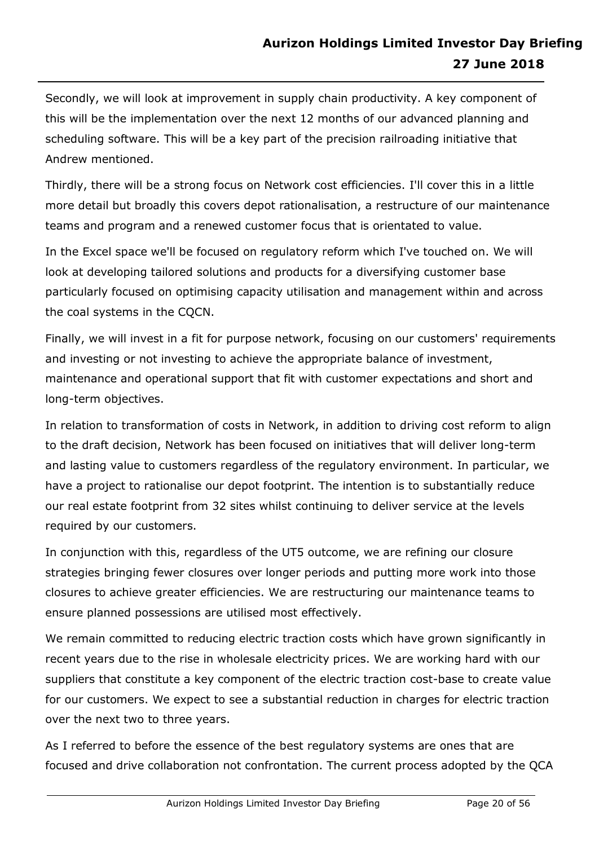Secondly, we will look at improvement in supply chain productivity. A key component of this will be the implementation over the next 12 months of our advanced planning and scheduling software. This will be a key part of the precision railroading initiative that Andrew mentioned.

Thirdly, there will be a strong focus on Network cost efficiencies. I'll cover this in a little more detail but broadly this covers depot rationalisation, a restructure of our maintenance teams and program and a renewed customer focus that is orientated to value.

In the Excel space we'll be focused on regulatory reform which I've touched on. We will look at developing tailored solutions and products for a diversifying customer base particularly focused on optimising capacity utilisation and management within and across the coal systems in the CQCN.

Finally, we will invest in a fit for purpose network, focusing on our customers' requirements and investing or not investing to achieve the appropriate balance of investment, maintenance and operational support that fit with customer expectations and short and long-term objectives.

In relation to transformation of costs in Network, in addition to driving cost reform to align to the draft decision, Network has been focused on initiatives that will deliver long-term and lasting value to customers regardless of the regulatory environment. In particular, we have a project to rationalise our depot footprint. The intention is to substantially reduce our real estate footprint from 32 sites whilst continuing to deliver service at the levels required by our customers.

In conjunction with this, regardless of the UT5 outcome, we are refining our closure strategies bringing fewer closures over longer periods and putting more work into those closures to achieve greater efficiencies. We are restructuring our maintenance teams to ensure planned possessions are utilised most effectively.

We remain committed to reducing electric traction costs which have grown significantly in recent years due to the rise in wholesale electricity prices. We are working hard with our suppliers that constitute a key component of the electric traction cost-base to create value for our customers. We expect to see a substantial reduction in charges for electric traction over the next two to three years.

As I referred to before the essence of the best regulatory systems are ones that are focused and drive collaboration not confrontation. The current process adopted by the QCA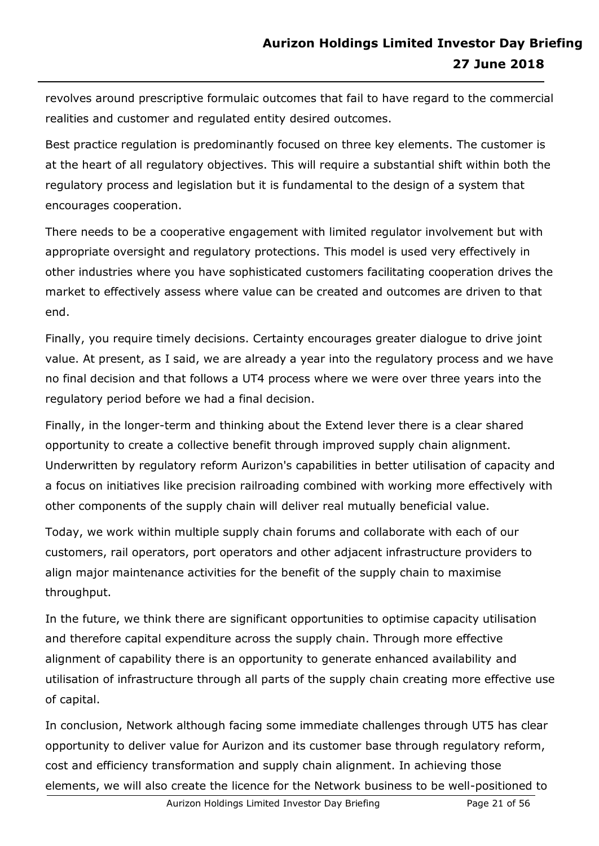revolves around prescriptive formulaic outcomes that fail to have regard to the commercial realities and customer and regulated entity desired outcomes.

Best practice regulation is predominantly focused on three key elements. The customer is at the heart of all regulatory objectives. This will require a substantial shift within both the regulatory process and legislation but it is fundamental to the design of a system that encourages cooperation.

There needs to be a cooperative engagement with limited regulator involvement but with appropriate oversight and regulatory protections. This model is used very effectively in other industries where you have sophisticated customers facilitating cooperation drives the market to effectively assess where value can be created and outcomes are driven to that end.

Finally, you require timely decisions. Certainty encourages greater dialogue to drive joint value. At present, as I said, we are already a year into the regulatory process and we have no final decision and that follows a UT4 process where we were over three years into the regulatory period before we had a final decision.

Finally, in the longer-term and thinking about the Extend lever there is a clear shared opportunity to create a collective benefit through improved supply chain alignment. Underwritten by regulatory reform Aurizon's capabilities in better utilisation of capacity and a focus on initiatives like precision railroading combined with working more effectively with other components of the supply chain will deliver real mutually beneficial value.

Today, we work within multiple supply chain forums and collaborate with each of our customers, rail operators, port operators and other adjacent infrastructure providers to align major maintenance activities for the benefit of the supply chain to maximise throughput.

In the future, we think there are significant opportunities to optimise capacity utilisation and therefore capital expenditure across the supply chain. Through more effective alignment of capability there is an opportunity to generate enhanced availability and utilisation of infrastructure through all parts of the supply chain creating more effective use of capital.

In conclusion, Network although facing some immediate challenges through UT5 has clear opportunity to deliver value for Aurizon and its customer base through regulatory reform, cost and efficiency transformation and supply chain alignment. In achieving those elements, we will also create the licence for the Network business to be well-positioned to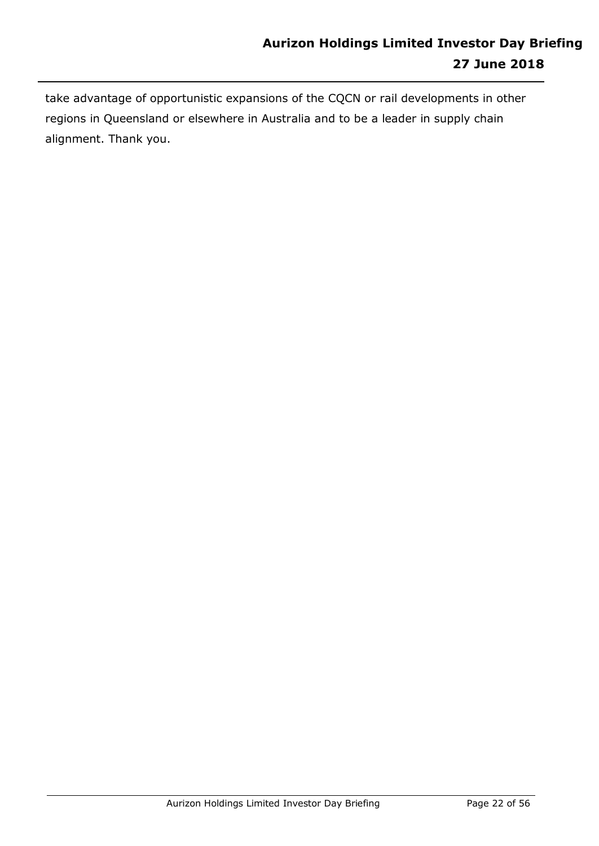take advantage of opportunistic expansions of the CQCN or rail developments in other regions in Queensland or elsewhere in Australia and to be a leader in supply chain alignment. Thank you.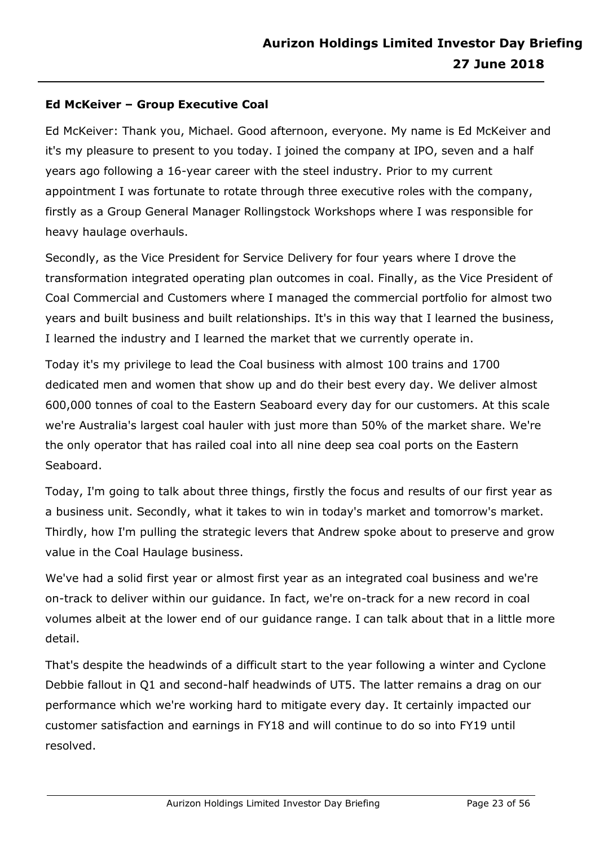# **Ed McKeiver – Group Executive Coal**

Ed McKeiver: Thank you, Michael. Good afternoon, everyone. My name is Ed McKeiver and it's my pleasure to present to you today. I joined the company at IPO, seven and a half years ago following a 16-year career with the steel industry. Prior to my current appointment I was fortunate to rotate through three executive roles with the company, firstly as a Group General Manager Rollingstock Workshops where I was responsible for heavy haulage overhauls.

Secondly, as the Vice President for Service Delivery for four years where I drove the transformation integrated operating plan outcomes in coal. Finally, as the Vice President of Coal Commercial and Customers where I managed the commercial portfolio for almost two years and built business and built relationships. It's in this way that I learned the business, I learned the industry and I learned the market that we currently operate in.

Today it's my privilege to lead the Coal business with almost 100 trains and 1700 dedicated men and women that show up and do their best every day. We deliver almost 600,000 tonnes of coal to the Eastern Seaboard every day for our customers. At this scale we're Australia's largest coal hauler with just more than 50% of the market share. We're the only operator that has railed coal into all nine deep sea coal ports on the Eastern Seaboard.

Today, I'm going to talk about three things, firstly the focus and results of our first year as a business unit. Secondly, what it takes to win in today's market and tomorrow's market. Thirdly, how I'm pulling the strategic levers that Andrew spoke about to preserve and grow value in the Coal Haulage business.

We've had a solid first year or almost first year as an integrated coal business and we're on-track to deliver within our guidance. In fact, we're on-track for a new record in coal volumes albeit at the lower end of our guidance range. I can talk about that in a little more detail.

That's despite the headwinds of a difficult start to the year following a winter and Cyclone Debbie fallout in Q1 and second-half headwinds of UT5. The latter remains a drag on our performance which we're working hard to mitigate every day. It certainly impacted our customer satisfaction and earnings in FY18 and will continue to do so into FY19 until resolved.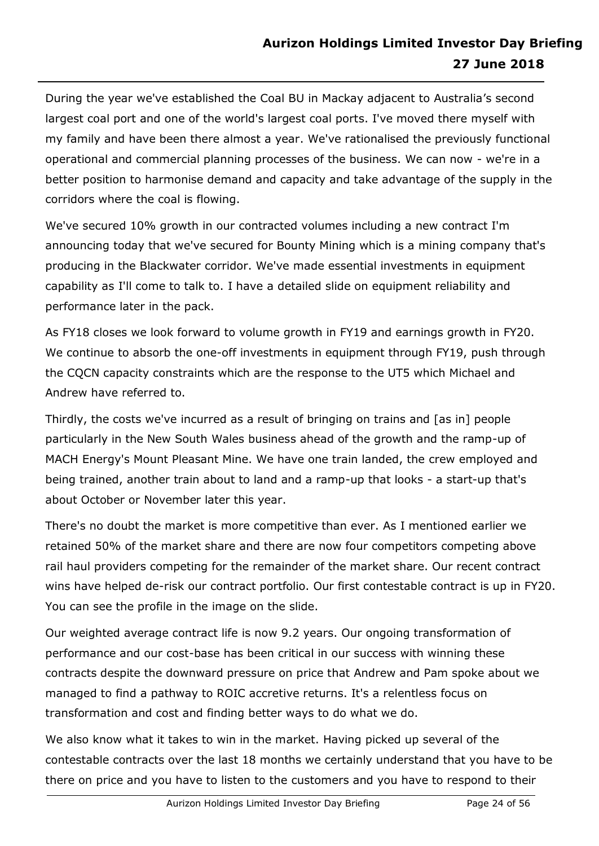During the year we've established the Coal BU in Mackay adjacent to Australia's second largest coal port and one of the world's largest coal ports. I've moved there myself with my family and have been there almost a year. We've rationalised the previously functional operational and commercial planning processes of the business. We can now - we're in a better position to harmonise demand and capacity and take advantage of the supply in the corridors where the coal is flowing.

We've secured 10% growth in our contracted volumes including a new contract I'm announcing today that we've secured for Bounty Mining which is a mining company that's producing in the Blackwater corridor. We've made essential investments in equipment capability as I'll come to talk to. I have a detailed slide on equipment reliability and performance later in the pack.

As FY18 closes we look forward to volume growth in FY19 and earnings growth in FY20. We continue to absorb the one-off investments in equipment through FY19, push through the CQCN capacity constraints which are the response to the UT5 which Michael and Andrew have referred to.

Thirdly, the costs we've incurred as a result of bringing on trains and [as in] people particularly in the New South Wales business ahead of the growth and the ramp-up of MACH Energy's Mount Pleasant Mine. We have one train landed, the crew employed and being trained, another train about to land and a ramp-up that looks - a start-up that's about October or November later this year.

There's no doubt the market is more competitive than ever. As I mentioned earlier we retained 50% of the market share and there are now four competitors competing above rail haul providers competing for the remainder of the market share. Our recent contract wins have helped de-risk our contract portfolio. Our first contestable contract is up in FY20. You can see the profile in the image on the slide.

Our weighted average contract life is now 9.2 years. Our ongoing transformation of performance and our cost-base has been critical in our success with winning these contracts despite the downward pressure on price that Andrew and Pam spoke about we managed to find a pathway to ROIC accretive returns. It's a relentless focus on transformation and cost and finding better ways to do what we do.

We also know what it takes to win in the market. Having picked up several of the contestable contracts over the last 18 months we certainly understand that you have to be there on price and you have to listen to the customers and you have to respond to their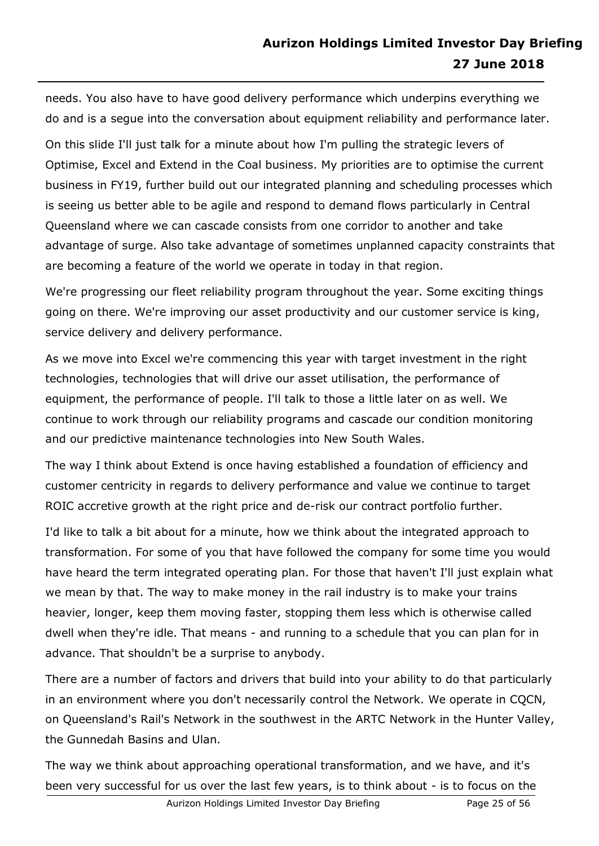needs. You also have to have good delivery performance which underpins everything we do and is a segue into the conversation about equipment reliability and performance later.

On this slide I'll just talk for a minute about how I'm pulling the strategic levers of Optimise, Excel and Extend in the Coal business. My priorities are to optimise the current business in FY19, further build out our integrated planning and scheduling processes which is seeing us better able to be agile and respond to demand flows particularly in Central Queensland where we can cascade consists from one corridor to another and take advantage of surge. Also take advantage of sometimes unplanned capacity constraints that are becoming a feature of the world we operate in today in that region.

We're progressing our fleet reliability program throughout the year. Some exciting things going on there. We're improving our asset productivity and our customer service is king, service delivery and delivery performance.

As we move into Excel we're commencing this year with target investment in the right technologies, technologies that will drive our asset utilisation, the performance of equipment, the performance of people. I'll talk to those a little later on as well. We continue to work through our reliability programs and cascade our condition monitoring and our predictive maintenance technologies into New South Wales.

The way I think about Extend is once having established a foundation of efficiency and customer centricity in regards to delivery performance and value we continue to target ROIC accretive growth at the right price and de-risk our contract portfolio further.

I'd like to talk a bit about for a minute, how we think about the integrated approach to transformation. For some of you that have followed the company for some time you would have heard the term integrated operating plan. For those that haven't I'll just explain what we mean by that. The way to make money in the rail industry is to make your trains heavier, longer, keep them moving faster, stopping them less which is otherwise called dwell when they're idle. That means - and running to a schedule that you can plan for in advance. That shouldn't be a surprise to anybody.

There are a number of factors and drivers that build into your ability to do that particularly in an environment where you don't necessarily control the Network. We operate in CQCN, on Queensland's Rail's Network in the southwest in the ARTC Network in the Hunter Valley, the Gunnedah Basins and Ulan.

The way we think about approaching operational transformation, and we have, and it's been very successful for us over the last few years, is to think about - is to focus on the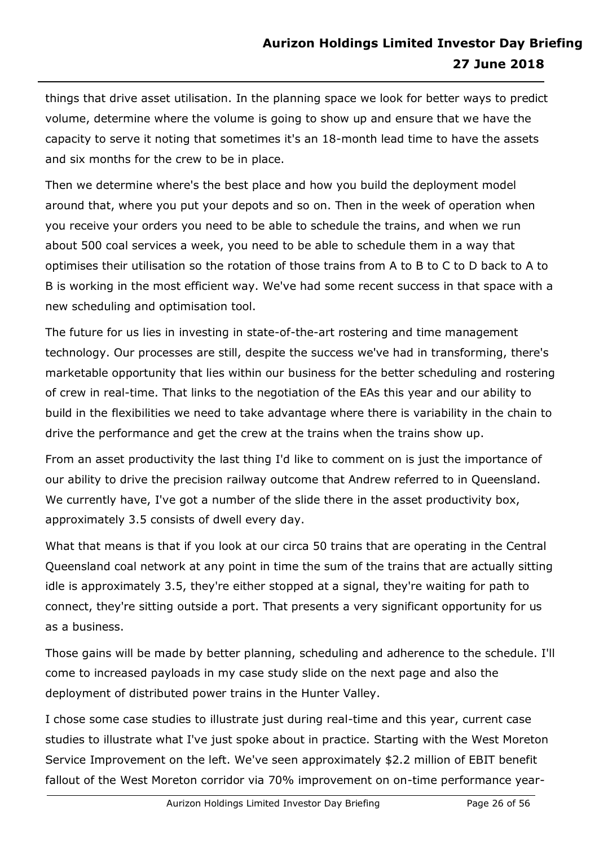things that drive asset utilisation. In the planning space we look for better ways to predict volume, determine where the volume is going to show up and ensure that we have the capacity to serve it noting that sometimes it's an 18-month lead time to have the assets and six months for the crew to be in place.

Then we determine where's the best place and how you build the deployment model around that, where you put your depots and so on. Then in the week of operation when you receive your orders you need to be able to schedule the trains, and when we run about 500 coal services a week, you need to be able to schedule them in a way that optimises their utilisation so the rotation of those trains from A to B to C to D back to A to B is working in the most efficient way. We've had some recent success in that space with a new scheduling and optimisation tool.

The future for us lies in investing in state-of-the-art rostering and time management technology. Our processes are still, despite the success we've had in transforming, there's marketable opportunity that lies within our business for the better scheduling and rostering of crew in real-time. That links to the negotiation of the EAs this year and our ability to build in the flexibilities we need to take advantage where there is variability in the chain to drive the performance and get the crew at the trains when the trains show up.

From an asset productivity the last thing I'd like to comment on is just the importance of our ability to drive the precision railway outcome that Andrew referred to in Queensland. We currently have, I've got a number of the slide there in the asset productivity box, approximately 3.5 consists of dwell every day.

What that means is that if you look at our circa 50 trains that are operating in the Central Queensland coal network at any point in time the sum of the trains that are actually sitting idle is approximately 3.5, they're either stopped at a signal, they're waiting for path to connect, they're sitting outside a port. That presents a very significant opportunity for us as a business.

Those gains will be made by better planning, scheduling and adherence to the schedule. I'll come to increased payloads in my case study slide on the next page and also the deployment of distributed power trains in the Hunter Valley.

I chose some case studies to illustrate just during real-time and this year, current case studies to illustrate what I've just spoke about in practice. Starting with the West Moreton Service Improvement on the left. We've seen approximately \$2.2 million of EBIT benefit fallout of the West Moreton corridor via 70% improvement on on-time performance year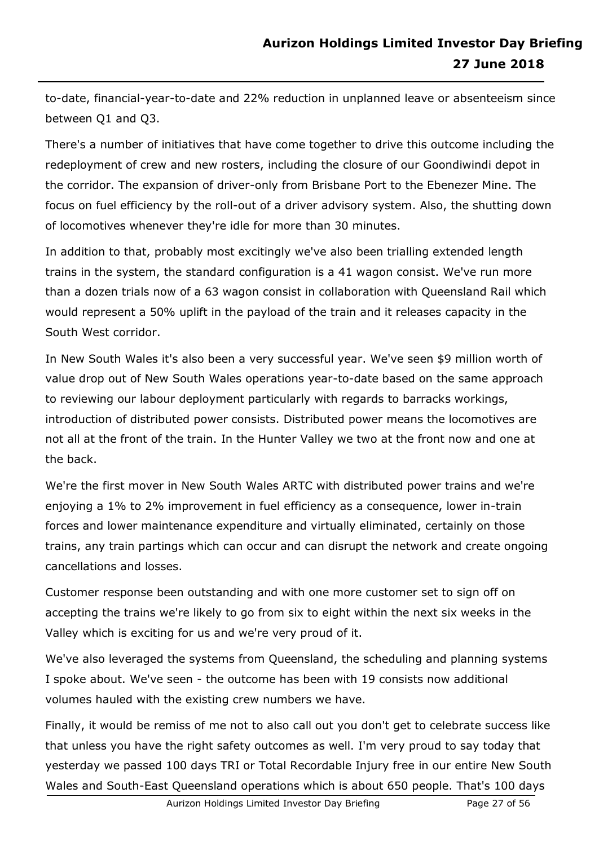to-date, financial-year-to-date and 22% reduction in unplanned leave or absenteeism since between Q1 and Q3.

There's a number of initiatives that have come together to drive this outcome including the redeployment of crew and new rosters, including the closure of our Goondiwindi depot in the corridor. The expansion of driver-only from Brisbane Port to the Ebenezer Mine. The focus on fuel efficiency by the roll-out of a driver advisory system. Also, the shutting down of locomotives whenever they're idle for more than 30 minutes.

In addition to that, probably most excitingly we've also been trialling extended length trains in the system, the standard configuration is a 41 wagon consist. We've run more than a dozen trials now of a 63 wagon consist in collaboration with Queensland Rail which would represent a 50% uplift in the payload of the train and it releases capacity in the South West corridor.

In New South Wales it's also been a very successful year. We've seen \$9 million worth of value drop out of New South Wales operations year-to-date based on the same approach to reviewing our labour deployment particularly with regards to barracks workings, introduction of distributed power consists. Distributed power means the locomotives are not all at the front of the train. In the Hunter Valley we two at the front now and one at the back.

We're the first mover in New South Wales ARTC with distributed power trains and we're enjoying a 1% to 2% improvement in fuel efficiency as a consequence, lower in-train forces and lower maintenance expenditure and virtually eliminated, certainly on those trains, any train partings which can occur and can disrupt the network and create ongoing cancellations and losses.

Customer response been outstanding and with one more customer set to sign off on accepting the trains we're likely to go from six to eight within the next six weeks in the Valley which is exciting for us and we're very proud of it.

We've also leveraged the systems from Queensland, the scheduling and planning systems I spoke about. We've seen - the outcome has been with 19 consists now additional volumes hauled with the existing crew numbers we have.

Finally, it would be remiss of me not to also call out you don't get to celebrate success like that unless you have the right safety outcomes as well. I'm very proud to say today that yesterday we passed 100 days TRI or Total Recordable Injury free in our entire New South Wales and South-East Queensland operations which is about 650 people. That's 100 days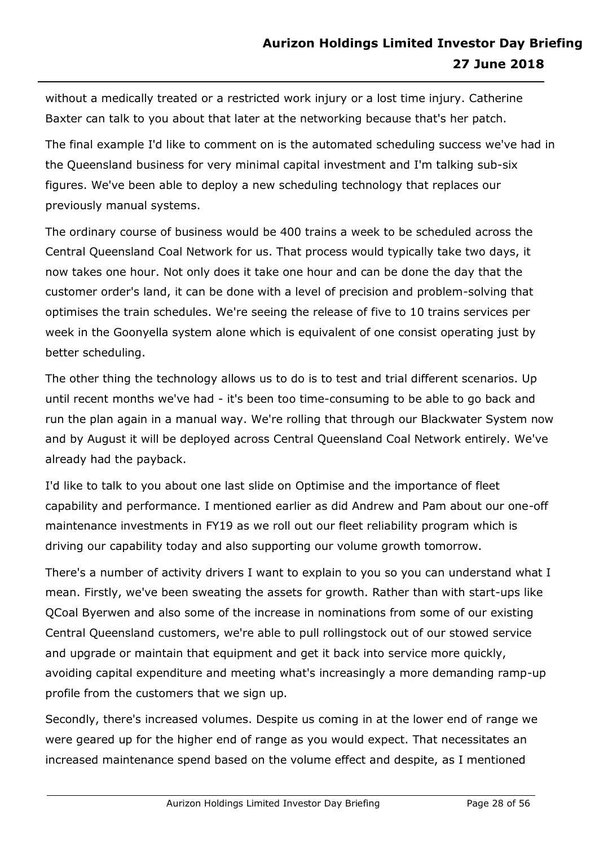without a medically treated or a restricted work injury or a lost time injury. Catherine Baxter can talk to you about that later at the networking because that's her patch.

The final example I'd like to comment on is the automated scheduling success we've had in the Queensland business for very minimal capital investment and I'm talking sub-six figures. We've been able to deploy a new scheduling technology that replaces our previously manual systems.

The ordinary course of business would be 400 trains a week to be scheduled across the Central Queensland Coal Network for us. That process would typically take two days, it now takes one hour. Not only does it take one hour and can be done the day that the customer order's land, it can be done with a level of precision and problem-solving that optimises the train schedules. We're seeing the release of five to 10 trains services per week in the Goonyella system alone which is equivalent of one consist operating just by better scheduling.

The other thing the technology allows us to do is to test and trial different scenarios. Up until recent months we've had - it's been too time-consuming to be able to go back and run the plan again in a manual way. We're rolling that through our Blackwater System now and by August it will be deployed across Central Queensland Coal Network entirely. We've already had the payback.

I'd like to talk to you about one last slide on Optimise and the importance of fleet capability and performance. I mentioned earlier as did Andrew and Pam about our one-off maintenance investments in FY19 as we roll out our fleet reliability program which is driving our capability today and also supporting our volume growth tomorrow.

There's a number of activity drivers I want to explain to you so you can understand what I mean. Firstly, we've been sweating the assets for growth. Rather than with start-ups like QCoal Byerwen and also some of the increase in nominations from some of our existing Central Queensland customers, we're able to pull rollingstock out of our stowed service and upgrade or maintain that equipment and get it back into service more quickly, avoiding capital expenditure and meeting what's increasingly a more demanding ramp-up profile from the customers that we sign up.

Secondly, there's increased volumes. Despite us coming in at the lower end of range we were geared up for the higher end of range as you would expect. That necessitates an increased maintenance spend based on the volume effect and despite, as I mentioned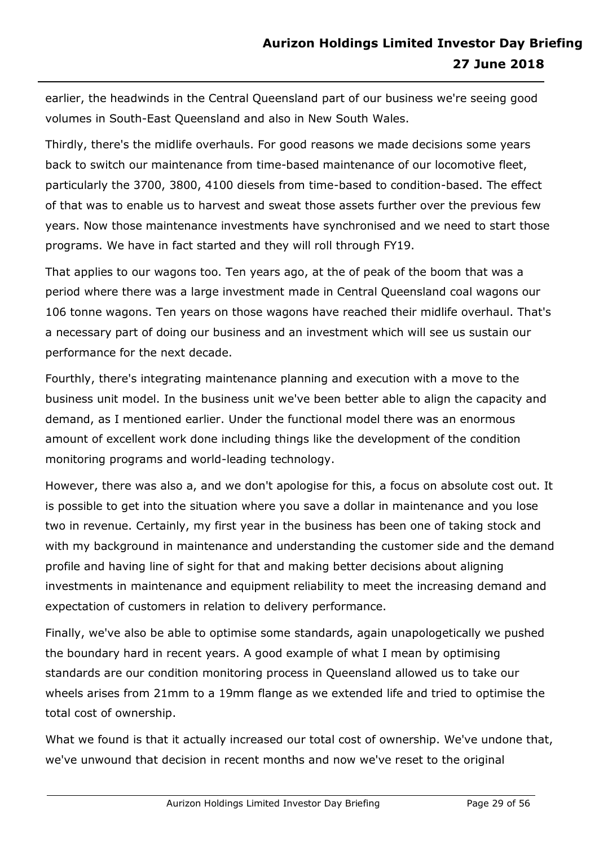earlier, the headwinds in the Central Queensland part of our business we're seeing good volumes in South-East Queensland and also in New South Wales.

Thirdly, there's the midlife overhauls. For good reasons we made decisions some years back to switch our maintenance from time-based maintenance of our locomotive fleet, particularly the 3700, 3800, 4100 diesels from time-based to condition-based. The effect of that was to enable us to harvest and sweat those assets further over the previous few years. Now those maintenance investments have synchronised and we need to start those programs. We have in fact started and they will roll through FY19.

That applies to our wagons too. Ten years ago, at the of peak of the boom that was a period where there was a large investment made in Central Queensland coal wagons our 106 tonne wagons. Ten years on those wagons have reached their midlife overhaul. That's a necessary part of doing our business and an investment which will see us sustain our performance for the next decade.

Fourthly, there's integrating maintenance planning and execution with a move to the business unit model. In the business unit we've been better able to align the capacity and demand, as I mentioned earlier. Under the functional model there was an enormous amount of excellent work done including things like the development of the condition monitoring programs and world-leading technology.

However, there was also a, and we don't apologise for this, a focus on absolute cost out. It is possible to get into the situation where you save a dollar in maintenance and you lose two in revenue. Certainly, my first year in the business has been one of taking stock and with my background in maintenance and understanding the customer side and the demand profile and having line of sight for that and making better decisions about aligning investments in maintenance and equipment reliability to meet the increasing demand and expectation of customers in relation to delivery performance.

Finally, we've also be able to optimise some standards, again unapologetically we pushed the boundary hard in recent years. A good example of what I mean by optimising standards are our condition monitoring process in Queensland allowed us to take our wheels arises from 21mm to a 19mm flange as we extended life and tried to optimise the total cost of ownership.

What we found is that it actually increased our total cost of ownership. We've undone that, we've unwound that decision in recent months and now we've reset to the original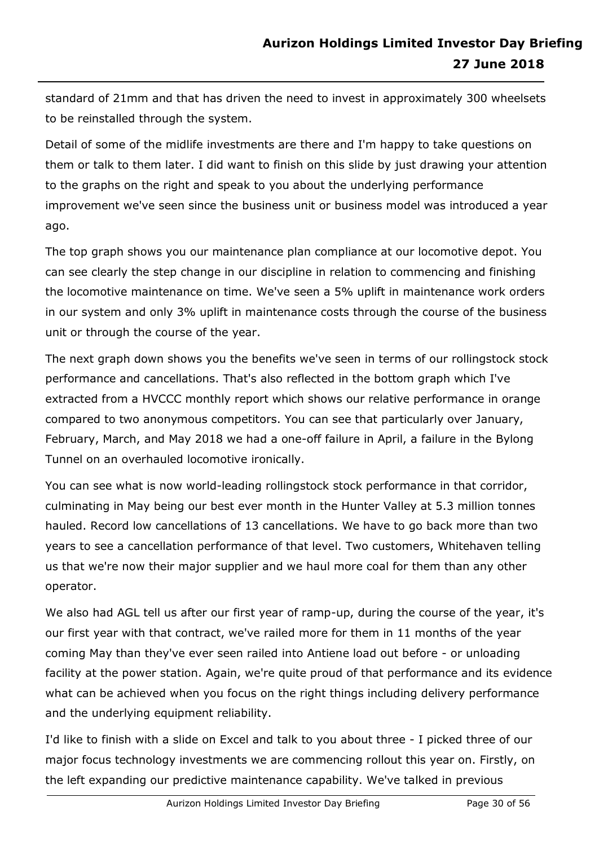standard of 21mm and that has driven the need to invest in approximately 300 wheelsets to be reinstalled through the system.

Detail of some of the midlife investments are there and I'm happy to take questions on them or talk to them later. I did want to finish on this slide by just drawing your attention to the graphs on the right and speak to you about the underlying performance improvement we've seen since the business unit or business model was introduced a year ago.

The top graph shows you our maintenance plan compliance at our locomotive depot. You can see clearly the step change in our discipline in relation to commencing and finishing the locomotive maintenance on time. We've seen a 5% uplift in maintenance work orders in our system and only 3% uplift in maintenance costs through the course of the business unit or through the course of the year.

The next graph down shows you the benefits we've seen in terms of our rollingstock stock performance and cancellations. That's also reflected in the bottom graph which I've extracted from a HVCCC monthly report which shows our relative performance in orange compared to two anonymous competitors. You can see that particularly over January, February, March, and May 2018 we had a one-off failure in April, a failure in the Bylong Tunnel on an overhauled locomotive ironically.

You can see what is now world-leading rollingstock stock performance in that corridor, culminating in May being our best ever month in the Hunter Valley at 5.3 million tonnes hauled. Record low cancellations of 13 cancellations. We have to go back more than two years to see a cancellation performance of that level. Two customers, Whitehaven telling us that we're now their major supplier and we haul more coal for them than any other operator.

We also had AGL tell us after our first year of ramp-up, during the course of the year, it's our first year with that contract, we've railed more for them in 11 months of the year coming May than they've ever seen railed into Antiene load out before - or unloading facility at the power station. Again, we're quite proud of that performance and its evidence what can be achieved when you focus on the right things including delivery performance and the underlying equipment reliability.

I'd like to finish with a slide on Excel and talk to you about three - I picked three of our major focus technology investments we are commencing rollout this year on. Firstly, on the left expanding our predictive maintenance capability. We've talked in previous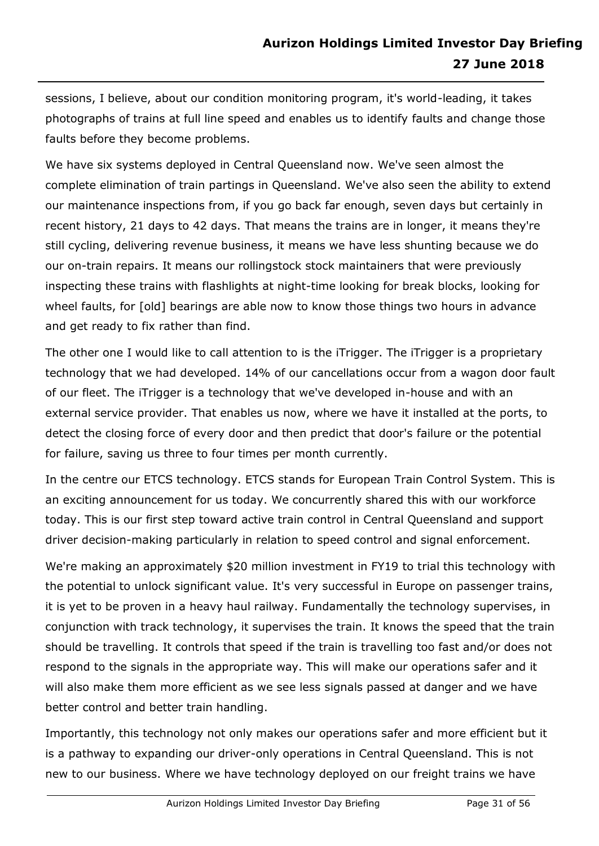sessions, I believe, about our condition monitoring program, it's world-leading, it takes photographs of trains at full line speed and enables us to identify faults and change those faults before they become problems.

We have six systems deployed in Central Queensland now. We've seen almost the complete elimination of train partings in Queensland. We've also seen the ability to extend our maintenance inspections from, if you go back far enough, seven days but certainly in recent history, 21 days to 42 days. That means the trains are in longer, it means they're still cycling, delivering revenue business, it means we have less shunting because we do our on-train repairs. It means our rollingstock stock maintainers that were previously inspecting these trains with flashlights at night-time looking for break blocks, looking for wheel faults, for [old] bearings are able now to know those things two hours in advance and get ready to fix rather than find.

The other one I would like to call attention to is the iTrigger. The iTrigger is a proprietary technology that we had developed. 14% of our cancellations occur from a wagon door fault of our fleet. The iTrigger is a technology that we've developed in-house and with an external service provider. That enables us now, where we have it installed at the ports, to detect the closing force of every door and then predict that door's failure or the potential for failure, saving us three to four times per month currently.

In the centre our ETCS technology. ETCS stands for European Train Control System. This is an exciting announcement for us today. We concurrently shared this with our workforce today. This is our first step toward active train control in Central Queensland and support driver decision-making particularly in relation to speed control and signal enforcement.

We're making an approximately \$20 million investment in FY19 to trial this technology with the potential to unlock significant value. It's very successful in Europe on passenger trains, it is yet to be proven in a heavy haul railway. Fundamentally the technology supervises, in conjunction with track technology, it supervises the train. It knows the speed that the train should be travelling. It controls that speed if the train is travelling too fast and/or does not respond to the signals in the appropriate way. This will make our operations safer and it will also make them more efficient as we see less signals passed at danger and we have better control and better train handling.

Importantly, this technology not only makes our operations safer and more efficient but it is a pathway to expanding our driver-only operations in Central Queensland. This is not new to our business. Where we have technology deployed on our freight trains we have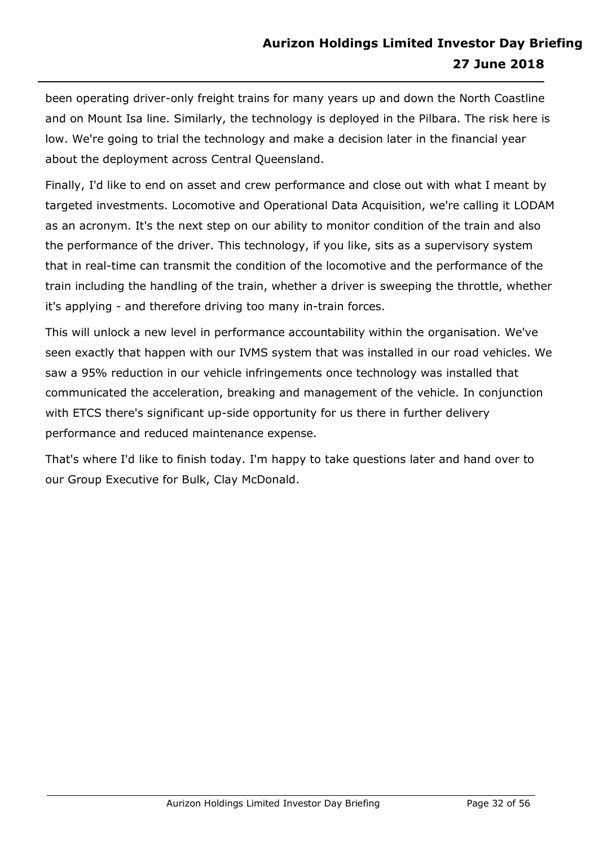been operating driver-only freight trains for many years up and down the North Coastline and on Mount Isa line. Similarly, the technology is deployed in the Pilbara. The risk here is low. We're going to trial the technology and make a decision later in the financial year about the deployment across Central Queensland.

Finally, I'd like to end on asset and crew performance and close out with what I meant by targeted investments. Locomotive and Operational Data Acquisition, we're calling it LODAM as an acronym. It's the next step on our ability to monitor condition of the train and also the performance of the driver. This technology, if you like, sits as a supervisory system that in real-time can transmit the condition of the locomotive and the performance of the train including the handling of the train, whether a driver is sweeping the throttle, whether it's applying - and therefore driving too many in-train forces.

This will unlock a new level in performance accountability within the organisation. We've seen exactly that happen with our IVMS system that was installed in our road vehicles. We saw a 95% reduction in our vehicle infringements once technology was installed that communicated the acceleration, breaking and management of the vehicle. In conjunction with ETCS there's significant up-side opportunity for us there in further delivery performance and reduced maintenance expense.

That's where I'd like to finish today. I'm happy to take questions later and hand over to our Group Executive for Bulk, Clay McDonald.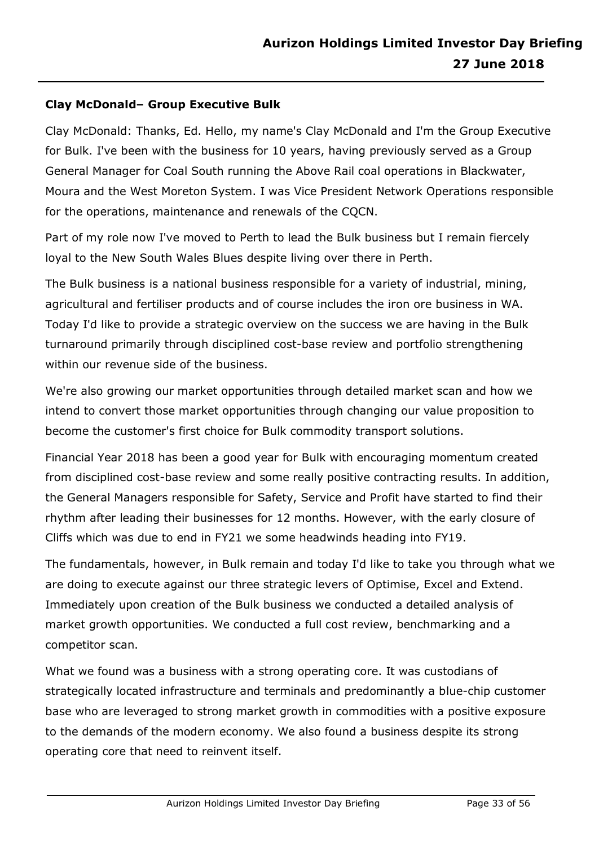#### **Clay McDonald– Group Executive Bulk**

Clay McDonald: Thanks, Ed. Hello, my name's Clay McDonald and I'm the Group Executive for Bulk. I've been with the business for 10 years, having previously served as a Group General Manager for Coal South running the Above Rail coal operations in Blackwater, Moura and the West Moreton System. I was Vice President Network Operations responsible for the operations, maintenance and renewals of the CQCN.

Part of my role now I've moved to Perth to lead the Bulk business but I remain fiercely loyal to the New South Wales Blues despite living over there in Perth.

The Bulk business is a national business responsible for a variety of industrial, mining, agricultural and fertiliser products and of course includes the iron ore business in WA. Today I'd like to provide a strategic overview on the success we are having in the Bulk turnaround primarily through disciplined cost-base review and portfolio strengthening within our revenue side of the business.

We're also growing our market opportunities through detailed market scan and how we intend to convert those market opportunities through changing our value proposition to become the customer's first choice for Bulk commodity transport solutions.

Financial Year 2018 has been a good year for Bulk with encouraging momentum created from disciplined cost-base review and some really positive contracting results. In addition, the General Managers responsible for Safety, Service and Profit have started to find their rhythm after leading their businesses for 12 months. However, with the early closure of Cliffs which was due to end in FY21 we some headwinds heading into FY19.

The fundamentals, however, in Bulk remain and today I'd like to take you through what we are doing to execute against our three strategic levers of Optimise, Excel and Extend. Immediately upon creation of the Bulk business we conducted a detailed analysis of market growth opportunities. We conducted a full cost review, benchmarking and a competitor scan.

What we found was a business with a strong operating core. It was custodians of strategically located infrastructure and terminals and predominantly a blue-chip customer base who are leveraged to strong market growth in commodities with a positive exposure to the demands of the modern economy. We also found a business despite its strong operating core that need to reinvent itself.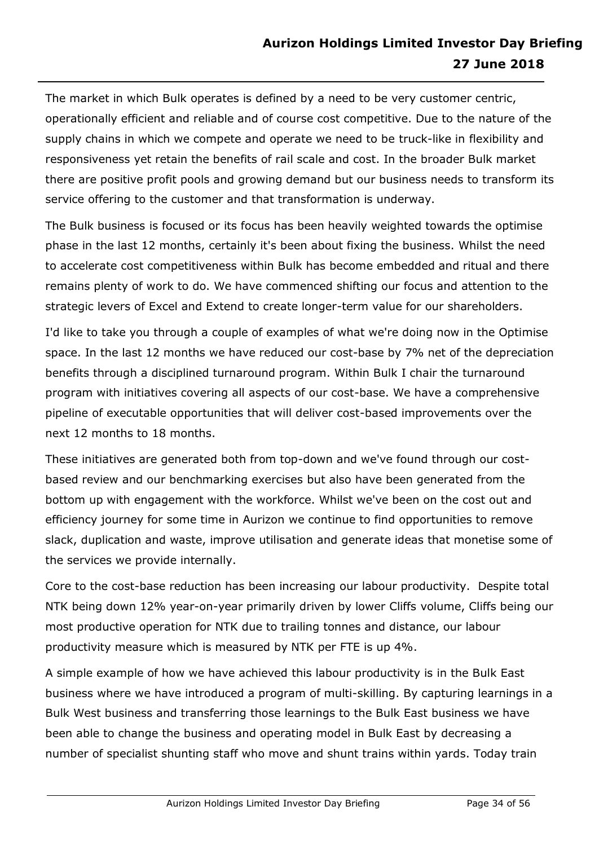The market in which Bulk operates is defined by a need to be very customer centric, operationally efficient and reliable and of course cost competitive. Due to the nature of the supply chains in which we compete and operate we need to be truck-like in flexibility and responsiveness yet retain the benefits of rail scale and cost. In the broader Bulk market there are positive profit pools and growing demand but our business needs to transform its service offering to the customer and that transformation is underway.

The Bulk business is focused or its focus has been heavily weighted towards the optimise phase in the last 12 months, certainly it's been about fixing the business. Whilst the need to accelerate cost competitiveness within Bulk has become embedded and ritual and there remains plenty of work to do. We have commenced shifting our focus and attention to the strategic levers of Excel and Extend to create longer-term value for our shareholders.

I'd like to take you through a couple of examples of what we're doing now in the Optimise space. In the last 12 months we have reduced our cost-base by 7% net of the depreciation benefits through a disciplined turnaround program. Within Bulk I chair the turnaround program with initiatives covering all aspects of our cost-base. We have a comprehensive pipeline of executable opportunities that will deliver cost-based improvements over the next 12 months to 18 months.

These initiatives are generated both from top-down and we've found through our costbased review and our benchmarking exercises but also have been generated from the bottom up with engagement with the workforce. Whilst we've been on the cost out and efficiency journey for some time in Aurizon we continue to find opportunities to remove slack, duplication and waste, improve utilisation and generate ideas that monetise some of the services we provide internally.

Core to the cost-base reduction has been increasing our labour productivity. Despite total NTK being down 12% year-on-year primarily driven by lower Cliffs volume, Cliffs being our most productive operation for NTK due to trailing tonnes and distance, our labour productivity measure which is measured by NTK per FTE is up 4%.

A simple example of how we have achieved this labour productivity is in the Bulk East business where we have introduced a program of multi-skilling. By capturing learnings in a Bulk West business and transferring those learnings to the Bulk East business we have been able to change the business and operating model in Bulk East by decreasing a number of specialist shunting staff who move and shunt trains within yards. Today train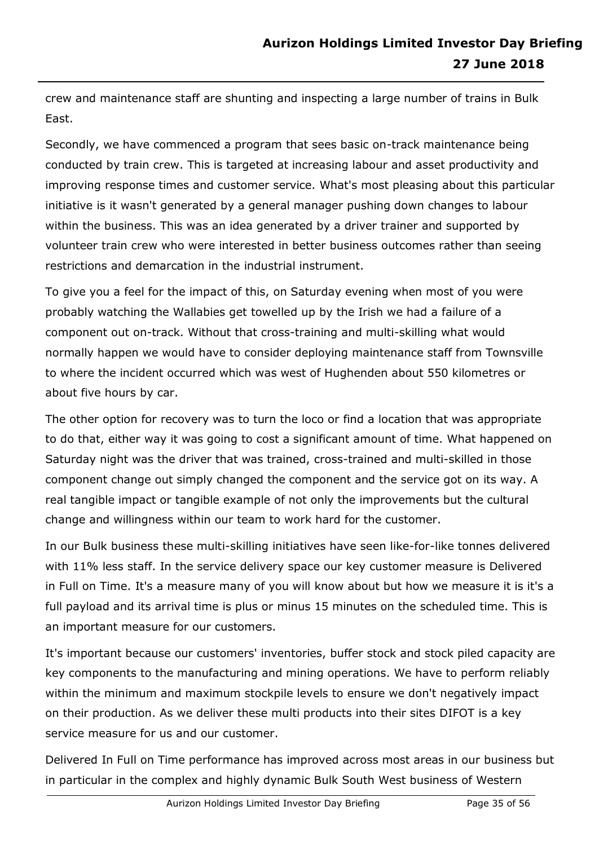crew and maintenance staff are shunting and inspecting a large number of trains in Bulk East.

Secondly, we have commenced a program that sees basic on-track maintenance being conducted by train crew. This is targeted at increasing labour and asset productivity and improving response times and customer service. What's most pleasing about this particular initiative is it wasn't generated by a general manager pushing down changes to labour within the business. This was an idea generated by a driver trainer and supported by volunteer train crew who were interested in better business outcomes rather than seeing restrictions and demarcation in the industrial instrument.

To give you a feel for the impact of this, on Saturday evening when most of you were probably watching the Wallabies get towelled up by the Irish we had a failure of a component out on-track. Without that cross-training and multi-skilling what would normally happen we would have to consider deploying maintenance staff from Townsville to where the incident occurred which was west of Hughenden about 550 kilometres or about five hours by car.

The other option for recovery was to turn the loco or find a location that was appropriate to do that, either way it was going to cost a significant amount of time. What happened on Saturday night was the driver that was trained, cross-trained and multi-skilled in those component change out simply changed the component and the service got on its way. A real tangible impact or tangible example of not only the improvements but the cultural change and willingness within our team to work hard for the customer.

In our Bulk business these multi-skilling initiatives have seen like-for-like tonnes delivered with 11% less staff. In the service delivery space our key customer measure is Delivered in Full on Time. It's a measure many of you will know about but how we measure it is it's a full payload and its arrival time is plus or minus 15 minutes on the scheduled time. This is an important measure for our customers.

It's important because our customers' inventories, buffer stock and stock piled capacity are key components to the manufacturing and mining operations. We have to perform reliably within the minimum and maximum stockpile levels to ensure we don't negatively impact on their production. As we deliver these multi products into their sites DIFOT is a key service measure for us and our customer.

Delivered In Full on Time performance has improved across most areas in our business but in particular in the complex and highly dynamic Bulk South West business of Western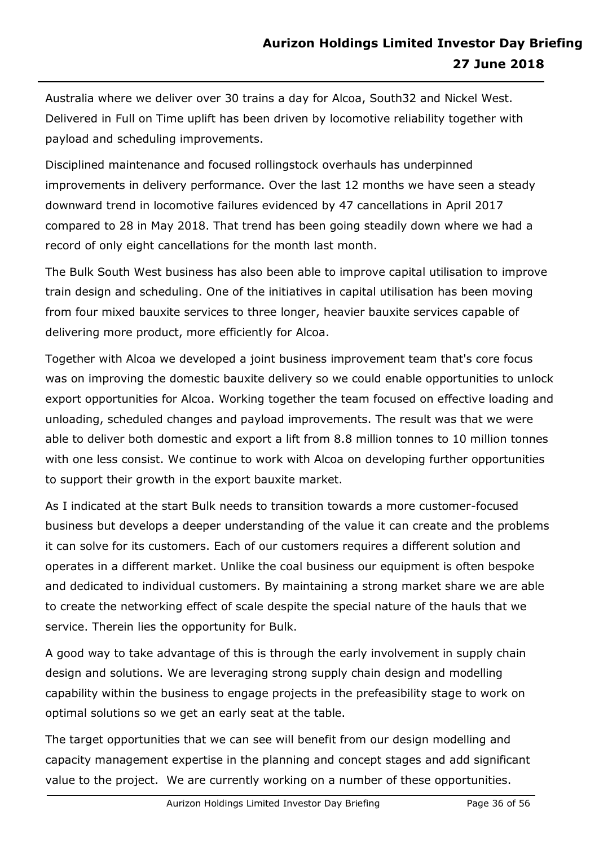Australia where we deliver over 30 trains a day for Alcoa, South32 and Nickel West. Delivered in Full on Time uplift has been driven by locomotive reliability together with payload and scheduling improvements.

Disciplined maintenance and focused rollingstock overhauls has underpinned improvements in delivery performance. Over the last 12 months we have seen a steady downward trend in locomotive failures evidenced by 47 cancellations in April 2017 compared to 28 in May 2018. That trend has been going steadily down where we had a record of only eight cancellations for the month last month.

The Bulk South West business has also been able to improve capital utilisation to improve train design and scheduling. One of the initiatives in capital utilisation has been moving from four mixed bauxite services to three longer, heavier bauxite services capable of delivering more product, more efficiently for Alcoa.

Together with Alcoa we developed a joint business improvement team that's core focus was on improving the domestic bauxite delivery so we could enable opportunities to unlock export opportunities for Alcoa. Working together the team focused on effective loading and unloading, scheduled changes and payload improvements. The result was that we were able to deliver both domestic and export a lift from 8.8 million tonnes to 10 million tonnes with one less consist. We continue to work with Alcoa on developing further opportunities to support their growth in the export bauxite market.

As I indicated at the start Bulk needs to transition towards a more customer-focused business but develops a deeper understanding of the value it can create and the problems it can solve for its customers. Each of our customers requires a different solution and operates in a different market. Unlike the coal business our equipment is often bespoke and dedicated to individual customers. By maintaining a strong market share we are able to create the networking effect of scale despite the special nature of the hauls that we service. Therein lies the opportunity for Bulk.

A good way to take advantage of this is through the early involvement in supply chain design and solutions. We are leveraging strong supply chain design and modelling capability within the business to engage projects in the prefeasibility stage to work on optimal solutions so we get an early seat at the table.

The target opportunities that we can see will benefit from our design modelling and capacity management expertise in the planning and concept stages and add significant value to the project. We are currently working on a number of these opportunities.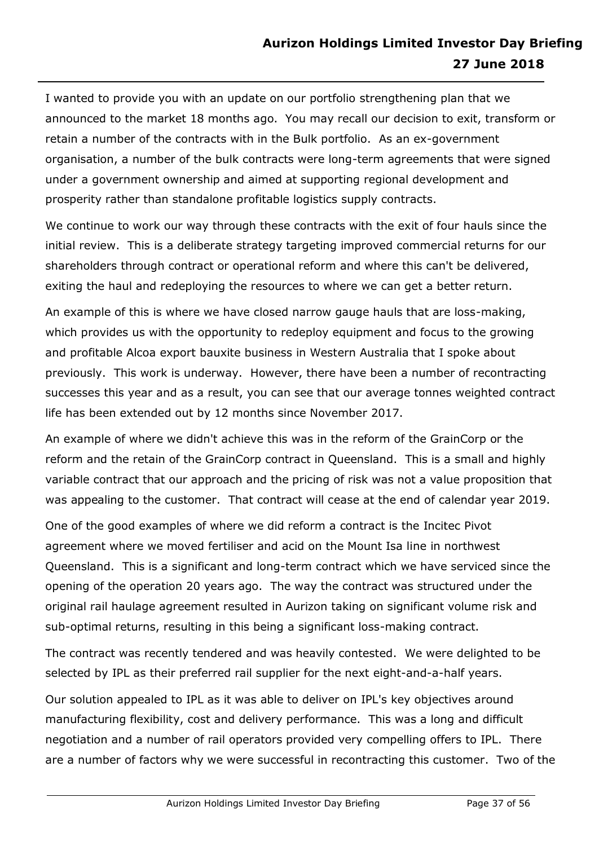I wanted to provide you with an update on our portfolio strengthening plan that we announced to the market 18 months ago. You may recall our decision to exit, transform or retain a number of the contracts with in the Bulk portfolio. As an ex-government organisation, a number of the bulk contracts were long-term agreements that were signed under a government ownership and aimed at supporting regional development and prosperity rather than standalone profitable logistics supply contracts.

We continue to work our way through these contracts with the exit of four hauls since the initial review. This is a deliberate strategy targeting improved commercial returns for our shareholders through contract or operational reform and where this can't be delivered, exiting the haul and redeploying the resources to where we can get a better return.

An example of this is where we have closed narrow gauge hauls that are loss-making, which provides us with the opportunity to redeploy equipment and focus to the growing and profitable Alcoa export bauxite business in Western Australia that I spoke about previously. This work is underway. However, there have been a number of recontracting successes this year and as a result, you can see that our average tonnes weighted contract life has been extended out by 12 months since November 2017.

An example of where we didn't achieve this was in the reform of the GrainCorp or the reform and the retain of the GrainCorp contract in Queensland. This is a small and highly variable contract that our approach and the pricing of risk was not a value proposition that was appealing to the customer. That contract will cease at the end of calendar year 2019.

One of the good examples of where we did reform a contract is the Incitec Pivot agreement where we moved fertiliser and acid on the Mount Isa line in northwest Queensland. This is a significant and long-term contract which we have serviced since the opening of the operation 20 years ago. The way the contract was structured under the original rail haulage agreement resulted in Aurizon taking on significant volume risk and sub-optimal returns, resulting in this being a significant loss-making contract.

The contract was recently tendered and was heavily contested. We were delighted to be selected by IPL as their preferred rail supplier for the next eight-and-a-half years.

Our solution appealed to IPL as it was able to deliver on IPL's key objectives around manufacturing flexibility, cost and delivery performance. This was a long and difficult negotiation and a number of rail operators provided very compelling offers to IPL. There are a number of factors why we were successful in recontracting this customer. Two of the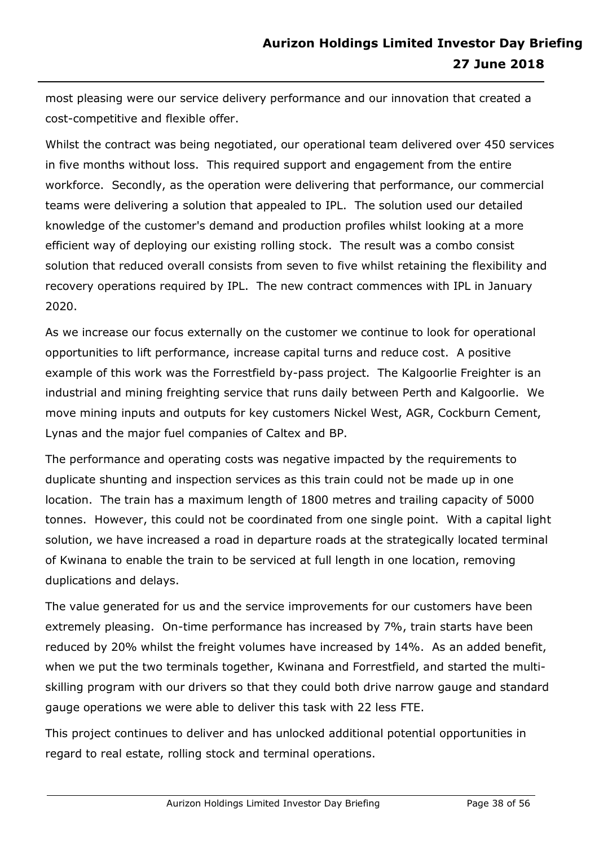most pleasing were our service delivery performance and our innovation that created a cost-competitive and flexible offer.

Whilst the contract was being negotiated, our operational team delivered over 450 services in five months without loss. This required support and engagement from the entire workforce. Secondly, as the operation were delivering that performance, our commercial teams were delivering a solution that appealed to IPL. The solution used our detailed knowledge of the customer's demand and production profiles whilst looking at a more efficient way of deploying our existing rolling stock. The result was a combo consist solution that reduced overall consists from seven to five whilst retaining the flexibility and recovery operations required by IPL. The new contract commences with IPL in January 2020.

As we increase our focus externally on the customer we continue to look for operational opportunities to lift performance, increase capital turns and reduce cost. A positive example of this work was the Forrestfield by-pass project. The Kalgoorlie Freighter is an industrial and mining freighting service that runs daily between Perth and Kalgoorlie. We move mining inputs and outputs for key customers Nickel West, AGR, Cockburn Cement, Lynas and the major fuel companies of Caltex and BP.

The performance and operating costs was negative impacted by the requirements to duplicate shunting and inspection services as this train could not be made up in one location. The train has a maximum length of 1800 metres and trailing capacity of 5000 tonnes. However, this could not be coordinated from one single point. With a capital light solution, we have increased a road in departure roads at the strategically located terminal of Kwinana to enable the train to be serviced at full length in one location, removing duplications and delays.

The value generated for us and the service improvements for our customers have been extremely pleasing. On-time performance has increased by 7%, train starts have been reduced by 20% whilst the freight volumes have increased by 14%. As an added benefit, when we put the two terminals together, Kwinana and Forrestfield, and started the multiskilling program with our drivers so that they could both drive narrow gauge and standard gauge operations we were able to deliver this task with 22 less FTE.

This project continues to deliver and has unlocked additional potential opportunities in regard to real estate, rolling stock and terminal operations.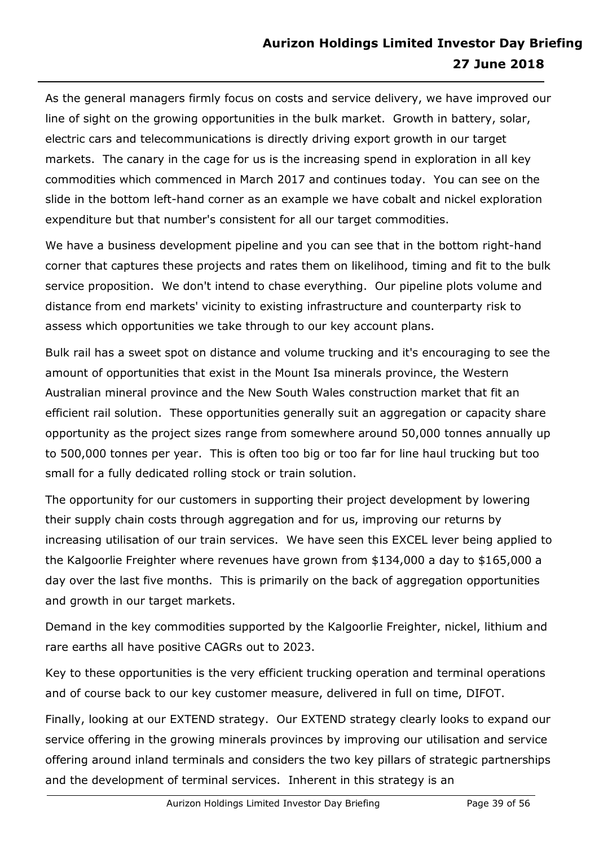As the general managers firmly focus on costs and service delivery, we have improved our line of sight on the growing opportunities in the bulk market. Growth in battery, solar, electric cars and telecommunications is directly driving export growth in our target markets. The canary in the cage for us is the increasing spend in exploration in all key commodities which commenced in March 2017 and continues today. You can see on the slide in the bottom left-hand corner as an example we have cobalt and nickel exploration expenditure but that number's consistent for all our target commodities.

We have a business development pipeline and you can see that in the bottom right-hand corner that captures these projects and rates them on likelihood, timing and fit to the bulk service proposition. We don't intend to chase everything. Our pipeline plots volume and distance from end markets' vicinity to existing infrastructure and counterparty risk to assess which opportunities we take through to our key account plans.

Bulk rail has a sweet spot on distance and volume trucking and it's encouraging to see the amount of opportunities that exist in the Mount Isa minerals province, the Western Australian mineral province and the New South Wales construction market that fit an efficient rail solution. These opportunities generally suit an aggregation or capacity share opportunity as the project sizes range from somewhere around 50,000 tonnes annually up to 500,000 tonnes per year. This is often too big or too far for line haul trucking but too small for a fully dedicated rolling stock or train solution.

The opportunity for our customers in supporting their project development by lowering their supply chain costs through aggregation and for us, improving our returns by increasing utilisation of our train services. We have seen this EXCEL lever being applied to the Kalgoorlie Freighter where revenues have grown from \$134,000 a day to \$165,000 a day over the last five months. This is primarily on the back of aggregation opportunities and growth in our target markets.

Demand in the key commodities supported by the Kalgoorlie Freighter, nickel, lithium and rare earths all have positive CAGRs out to 2023.

Key to these opportunities is the very efficient trucking operation and terminal operations and of course back to our key customer measure, delivered in full on time, DIFOT.

Finally, looking at our EXTEND strategy. Our EXTEND strategy clearly looks to expand our service offering in the growing minerals provinces by improving our utilisation and service offering around inland terminals and considers the two key pillars of strategic partnerships and the development of terminal services. Inherent in this strategy is an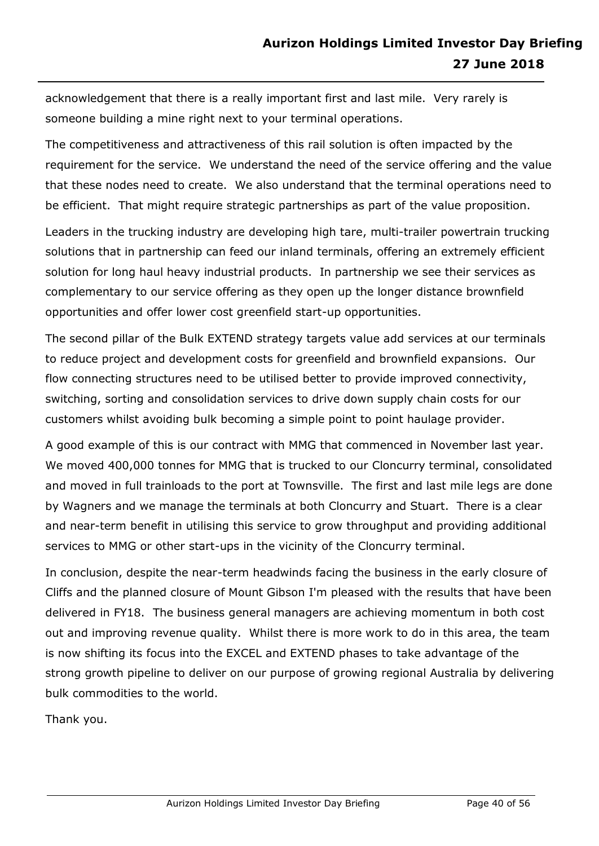acknowledgement that there is a really important first and last mile. Very rarely is someone building a mine right next to your terminal operations.

The competitiveness and attractiveness of this rail solution is often impacted by the requirement for the service. We understand the need of the service offering and the value that these nodes need to create. We also understand that the terminal operations need to be efficient. That might require strategic partnerships as part of the value proposition.

Leaders in the trucking industry are developing high tare, multi-trailer powertrain trucking solutions that in partnership can feed our inland terminals, offering an extremely efficient solution for long haul heavy industrial products. In partnership we see their services as complementary to our service offering as they open up the longer distance brownfield opportunities and offer lower cost greenfield start-up opportunities.

The second pillar of the Bulk EXTEND strategy targets value add services at our terminals to reduce project and development costs for greenfield and brownfield expansions. Our flow connecting structures need to be utilised better to provide improved connectivity, switching, sorting and consolidation services to drive down supply chain costs for our customers whilst avoiding bulk becoming a simple point to point haulage provider.

A good example of this is our contract with MMG that commenced in November last year. We moved 400,000 tonnes for MMG that is trucked to our Cloncurry terminal, consolidated and moved in full trainloads to the port at Townsville. The first and last mile legs are done by Wagners and we manage the terminals at both Cloncurry and Stuart. There is a clear and near-term benefit in utilising this service to grow throughput and providing additional services to MMG or other start-ups in the vicinity of the Cloncurry terminal.

In conclusion, despite the near-term headwinds facing the business in the early closure of Cliffs and the planned closure of Mount Gibson I'm pleased with the results that have been delivered in FY18. The business general managers are achieving momentum in both cost out and improving revenue quality. Whilst there is more work to do in this area, the team is now shifting its focus into the EXCEL and EXTEND phases to take advantage of the strong growth pipeline to deliver on our purpose of growing regional Australia by delivering bulk commodities to the world.

Thank you.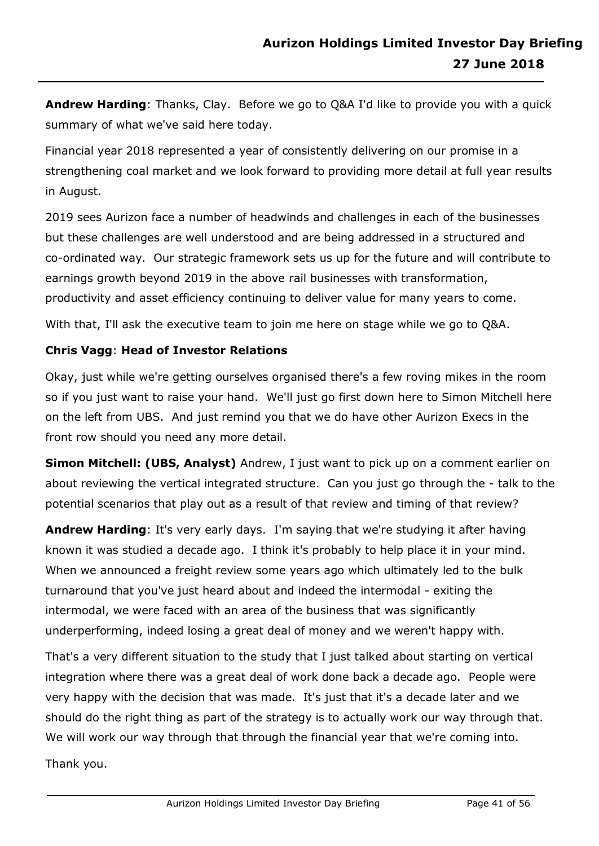**Andrew Harding**: Thanks, Clay. Before we go to Q&A I'd like to provide you with a quick summary of what we've said here today.

Financial year 2018 represented a year of consistently delivering on our promise in a strengthening coal market and we look forward to providing more detail at full year results in August.

2019 sees Aurizon face a number of headwinds and challenges in each of the businesses but these challenges are well understood and are being addressed in a structured and co-ordinated way. Our strategic framework sets us up for the future and will contribute to earnings growth beyond 2019 in the above rail businesses with transformation, productivity and asset efficiency continuing to deliver value for many years to come.

With that, I'll ask the executive team to join me here on stage while we go to Q&A.

# **Chris Vagg**: **Head of Investor Relations**

Okay, just while we're getting ourselves organised there's a few roving mikes in the room so if you just want to raise your hand. We'll just go first down here to Simon Mitchell here on the left from UBS. And just remind you that we do have other Aurizon Execs in the front row should you need any more detail.

**Simon Mitchell: (UBS, Analyst)** Andrew, I just want to pick up on a comment earlier on about reviewing the vertical integrated structure. Can you just go through the - talk to the potential scenarios that play out as a result of that review and timing of that review?

**Andrew Harding**: It's very early days. I'm saying that we're studying it after having known it was studied a decade ago. I think it's probably to help place it in your mind. When we announced a freight review some years ago which ultimately led to the bulk turnaround that you've just heard about and indeed the intermodal - exiting the intermodal, we were faced with an area of the business that was significantly underperforming, indeed losing a great deal of money and we weren't happy with.

That's a very different situation to the study that I just talked about starting on vertical integration where there was a great deal of work done back a decade ago. People were very happy with the decision that was made. It's just that it's a decade later and we should do the right thing as part of the strategy is to actually work our way through that. We will work our way through that through the financial year that we're coming into.

Thank you.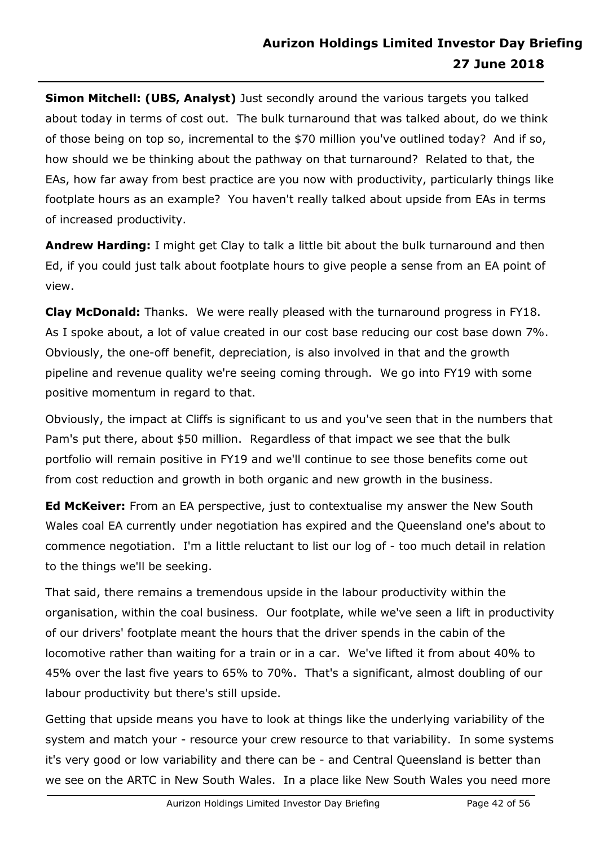**Simon Mitchell: (UBS, Analyst)** Just secondly around the various targets you talked about today in terms of cost out. The bulk turnaround that was talked about, do we think of those being on top so, incremental to the \$70 million you've outlined today? And if so, how should we be thinking about the pathway on that turnaround? Related to that, the EAs, how far away from best practice are you now with productivity, particularly things like footplate hours as an example? You haven't really talked about upside from EAs in terms of increased productivity.

**Andrew Harding:** I might get Clay to talk a little bit about the bulk turnaround and then Ed, if you could just talk about footplate hours to give people a sense from an EA point of view.

**Clay McDonald:** Thanks. We were really pleased with the turnaround progress in FY18. As I spoke about, a lot of value created in our cost base reducing our cost base down 7%. Obviously, the one-off benefit, depreciation, is also involved in that and the growth pipeline and revenue quality we're seeing coming through. We go into FY19 with some positive momentum in regard to that.

Obviously, the impact at Cliffs is significant to us and you've seen that in the numbers that Pam's put there, about \$50 million. Regardless of that impact we see that the bulk portfolio will remain positive in FY19 and we'll continue to see those benefits come out from cost reduction and growth in both organic and new growth in the business.

**Ed McKeiver:** From an EA perspective, just to contextualise my answer the New South Wales coal EA currently under negotiation has expired and the Queensland one's about to commence negotiation. I'm a little reluctant to list our log of - too much detail in relation to the things we'll be seeking.

That said, there remains a tremendous upside in the labour productivity within the organisation, within the coal business. Our footplate, while we've seen a lift in productivity of our drivers' footplate meant the hours that the driver spends in the cabin of the locomotive rather than waiting for a train or in a car. We've lifted it from about 40% to 45% over the last five years to 65% to 70%. That's a significant, almost doubling of our labour productivity but there's still upside.

Getting that upside means you have to look at things like the underlying variability of the system and match your - resource your crew resource to that variability. In some systems it's very good or low variability and there can be - and Central Queensland is better than we see on the ARTC in New South Wales. In a place like New South Wales you need more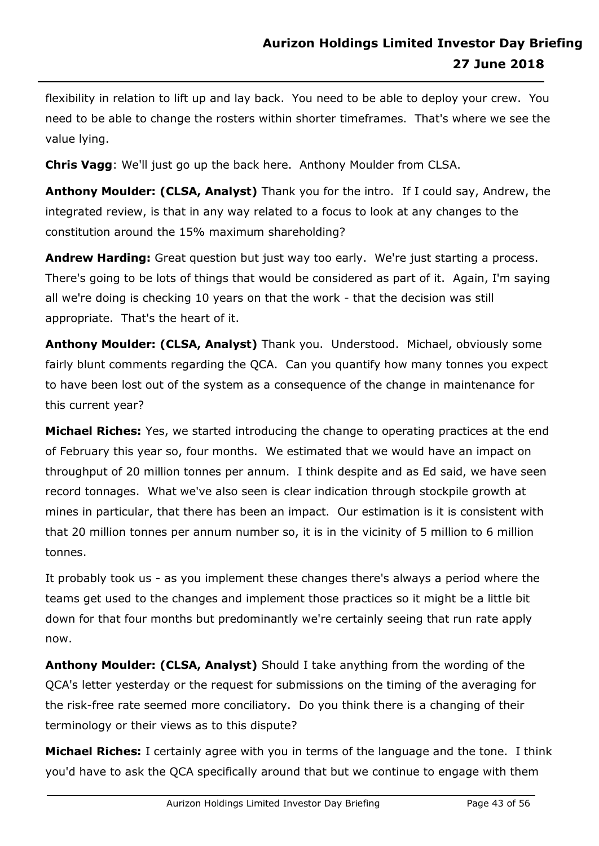flexibility in relation to lift up and lay back. You need to be able to deploy your crew. You need to be able to change the rosters within shorter timeframes. That's where we see the value lying.

**Chris Vagg**: We'll just go up the back here. Anthony Moulder from CLSA.

**Anthony Moulder: (CLSA, Analyst)** Thank you for the intro. If I could say, Andrew, the integrated review, is that in any way related to a focus to look at any changes to the constitution around the 15% maximum shareholding?

**Andrew Harding:** Great question but just way too early. We're just starting a process. There's going to be lots of things that would be considered as part of it. Again, I'm saying all we're doing is checking 10 years on that the work - that the decision was still appropriate. That's the heart of it.

**Anthony Moulder: (CLSA, Analyst)** Thank you. Understood. Michael, obviously some fairly blunt comments regarding the QCA. Can you quantify how many tonnes you expect to have been lost out of the system as a consequence of the change in maintenance for this current year?

**Michael Riches:** Yes, we started introducing the change to operating practices at the end of February this year so, four months. We estimated that we would have an impact on throughput of 20 million tonnes per annum. I think despite and as Ed said, we have seen record tonnages. What we've also seen is clear indication through stockpile growth at mines in particular, that there has been an impact. Our estimation is it is consistent with that 20 million tonnes per annum number so, it is in the vicinity of 5 million to 6 million tonnes.

It probably took us - as you implement these changes there's always a period where the teams get used to the changes and implement those practices so it might be a little bit down for that four months but predominantly we're certainly seeing that run rate apply now.

**Anthony Moulder: (CLSA, Analyst)** Should I take anything from the wording of the QCA's letter yesterday or the request for submissions on the timing of the averaging for the risk-free rate seemed more conciliatory. Do you think there is a changing of their terminology or their views as to this dispute?

**Michael Riches:** I certainly agree with you in terms of the language and the tone. I think you'd have to ask the QCA specifically around that but we continue to engage with them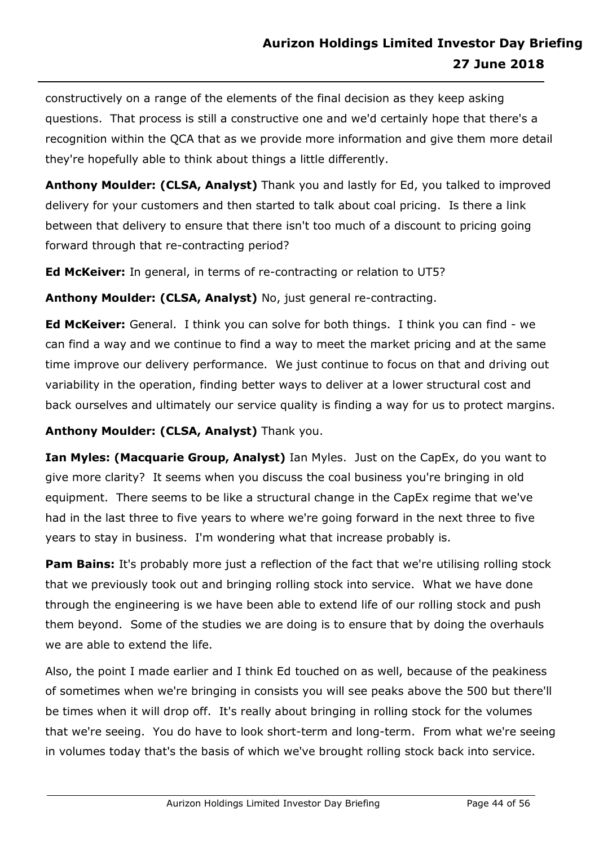constructively on a range of the elements of the final decision as they keep asking questions. That process is still a constructive one and we'd certainly hope that there's a recognition within the QCA that as we provide more information and give them more detail they're hopefully able to think about things a little differently.

**Anthony Moulder: (CLSA, Analyst)** Thank you and lastly for Ed, you talked to improved delivery for your customers and then started to talk about coal pricing. Is there a link between that delivery to ensure that there isn't too much of a discount to pricing going forward through that re-contracting period?

**Ed McKeiver:** In general, in terms of re-contracting or relation to UT5?

**Anthony Moulder: (CLSA, Analyst)** No, just general re-contracting.

**Ed McKeiver:** General. I think you can solve for both things. I think you can find - we can find a way and we continue to find a way to meet the market pricing and at the same time improve our delivery performance. We just continue to focus on that and driving out variability in the operation, finding better ways to deliver at a lower structural cost and back ourselves and ultimately our service quality is finding a way for us to protect margins.

# **Anthony Moulder: (CLSA, Analyst)** Thank you.

**Ian Myles: (Macquarie Group, Analyst)** Ian Myles. Just on the CapEx, do you want to give more clarity? It seems when you discuss the coal business you're bringing in old equipment. There seems to be like a structural change in the CapEx regime that we've had in the last three to five years to where we're going forward in the next three to five years to stay in business. I'm wondering what that increase probably is.

**Pam Bains:** It's probably more just a reflection of the fact that we're utilising rolling stock that we previously took out and bringing rolling stock into service. What we have done through the engineering is we have been able to extend life of our rolling stock and push them beyond. Some of the studies we are doing is to ensure that by doing the overhauls we are able to extend the life.

Also, the point I made earlier and I think Ed touched on as well, because of the peakiness of sometimes when we're bringing in consists you will see peaks above the 500 but there'll be times when it will drop off. It's really about bringing in rolling stock for the volumes that we're seeing. You do have to look short-term and long-term. From what we're seeing in volumes today that's the basis of which we've brought rolling stock back into service.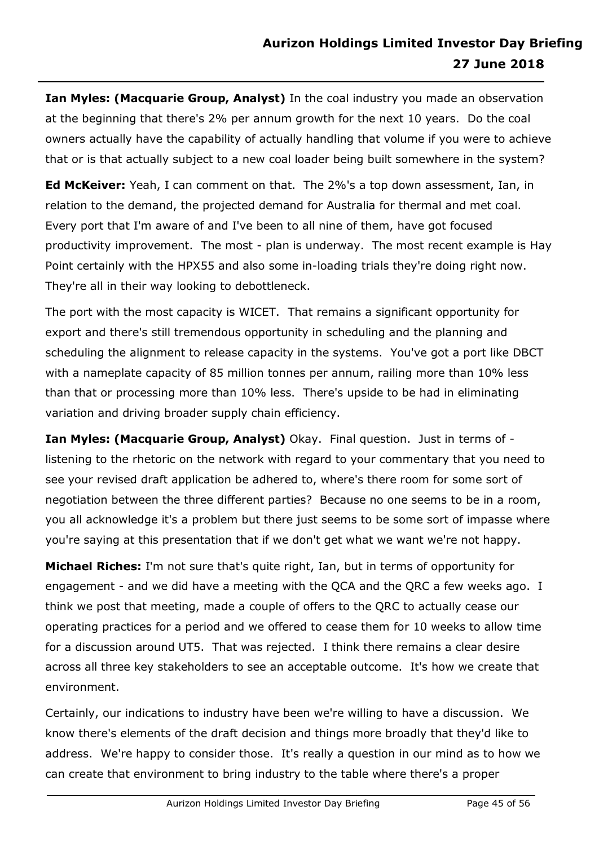**Ian Myles: (Macquarie Group, Analyst)** In the coal industry you made an observation at the beginning that there's 2% per annum growth for the next 10 years. Do the coal owners actually have the capability of actually handling that volume if you were to achieve that or is that actually subject to a new coal loader being built somewhere in the system?

**Ed McKeiver:** Yeah, I can comment on that. The 2%'s a top down assessment, Ian, in relation to the demand, the projected demand for Australia for thermal and met coal. Every port that I'm aware of and I've been to all nine of them, have got focused productivity improvement. The most - plan is underway. The most recent example is Hay Point certainly with the HPX55 and also some in-loading trials they're doing right now. They're all in their way looking to debottleneck.

The port with the most capacity is WICET. That remains a significant opportunity for export and there's still tremendous opportunity in scheduling and the planning and scheduling the alignment to release capacity in the systems. You've got a port like DBCT with a nameplate capacity of 85 million tonnes per annum, railing more than 10% less than that or processing more than 10% less. There's upside to be had in eliminating variation and driving broader supply chain efficiency.

**Ian Myles: (Macquarie Group, Analyst)** Okay. Final question. Just in terms of listening to the rhetoric on the network with regard to your commentary that you need to see your revised draft application be adhered to, where's there room for some sort of negotiation between the three different parties? Because no one seems to be in a room, you all acknowledge it's a problem but there just seems to be some sort of impasse where you're saying at this presentation that if we don't get what we want we're not happy.

**Michael Riches:** I'm not sure that's quite right, Ian, but in terms of opportunity for engagement - and we did have a meeting with the QCA and the QRC a few weeks ago. I think we post that meeting, made a couple of offers to the QRC to actually cease our operating practices for a period and we offered to cease them for 10 weeks to allow time for a discussion around UT5. That was rejected. I think there remains a clear desire across all three key stakeholders to see an acceptable outcome. It's how we create that environment.

Certainly, our indications to industry have been we're willing to have a discussion. We know there's elements of the draft decision and things more broadly that they'd like to address. We're happy to consider those. It's really a question in our mind as to how we can create that environment to bring industry to the table where there's a proper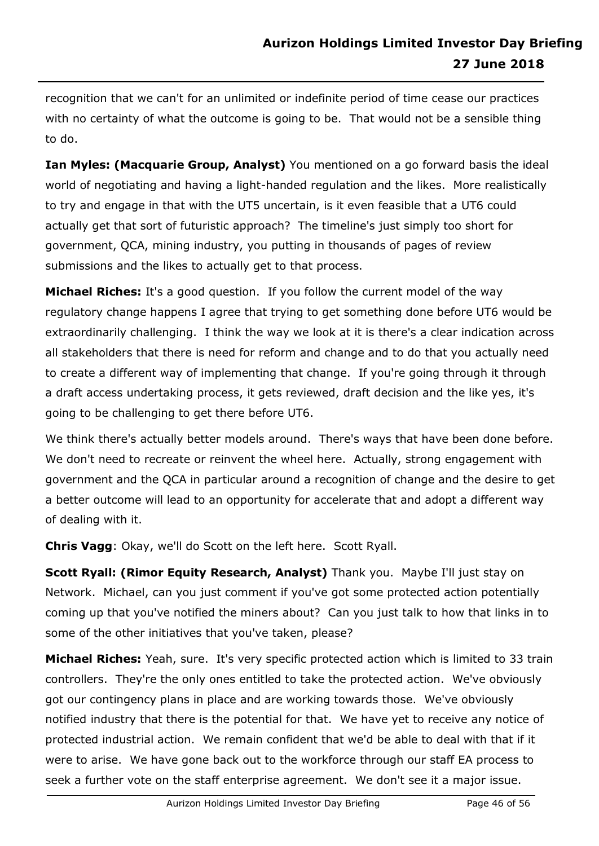recognition that we can't for an unlimited or indefinite period of time cease our practices with no certainty of what the outcome is going to be. That would not be a sensible thing to do.

**Ian Myles: (Macquarie Group, Analyst)** You mentioned on a go forward basis the ideal world of negotiating and having a light-handed regulation and the likes. More realistically to try and engage in that with the UT5 uncertain, is it even feasible that a UT6 could actually get that sort of futuristic approach? The timeline's just simply too short for government, QCA, mining industry, you putting in thousands of pages of review submissions and the likes to actually get to that process.

**Michael Riches:** It's a good question. If you follow the current model of the way regulatory change happens I agree that trying to get something done before UT6 would be extraordinarily challenging. I think the way we look at it is there's a clear indication across all stakeholders that there is need for reform and change and to do that you actually need to create a different way of implementing that change. If you're going through it through a draft access undertaking process, it gets reviewed, draft decision and the like yes, it's going to be challenging to get there before UT6.

We think there's actually better models around. There's ways that have been done before. We don't need to recreate or reinvent the wheel here. Actually, strong engagement with government and the QCA in particular around a recognition of change and the desire to get a better outcome will lead to an opportunity for accelerate that and adopt a different way of dealing with it.

**Chris Vagg**: Okay, we'll do Scott on the left here. Scott Ryall.

**Scott Ryall: (Rimor Equity Research, Analyst)** Thank you. Maybe I'll just stay on Network. Michael, can you just comment if you've got some protected action potentially coming up that you've notified the miners about? Can you just talk to how that links in to some of the other initiatives that you've taken, please?

**Michael Riches:** Yeah, sure. It's very specific protected action which is limited to 33 train controllers. They're the only ones entitled to take the protected action. We've obviously got our contingency plans in place and are working towards those. We've obviously notified industry that there is the potential for that. We have yet to receive any notice of protected industrial action. We remain confident that we'd be able to deal with that if it were to arise. We have gone back out to the workforce through our staff EA process to seek a further vote on the staff enterprise agreement. We don't see it a major issue.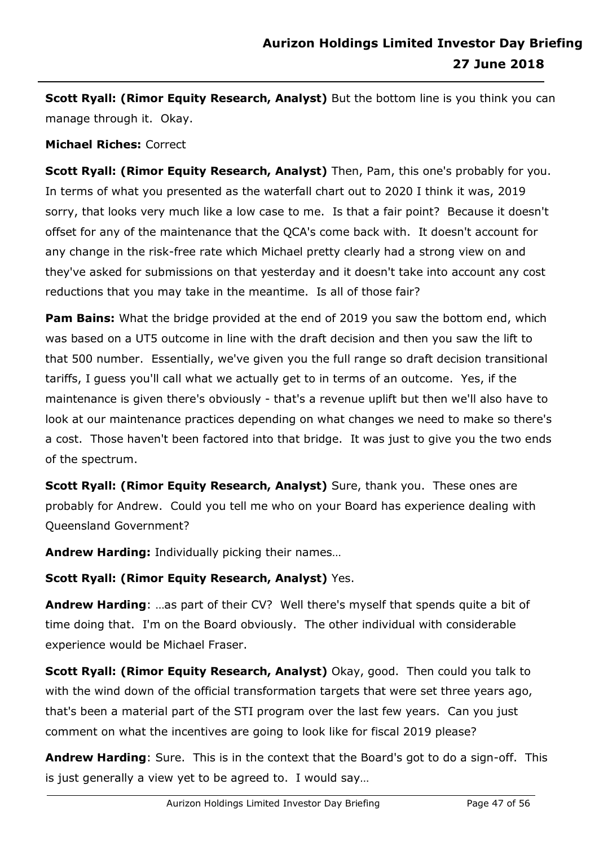**Scott Ryall: (Rimor Equity Research, Analyst)** But the bottom line is you think you can manage through it. Okay.

#### **Michael Riches:** Correct

**Scott Ryall: (Rimor Equity Research, Analyst)** Then, Pam, this one's probably for you. In terms of what you presented as the waterfall chart out to 2020 I think it was, 2019 sorry, that looks very much like a low case to me. Is that a fair point? Because it doesn't offset for any of the maintenance that the QCA's come back with. It doesn't account for any change in the risk-free rate which Michael pretty clearly had a strong view on and they've asked for submissions on that yesterday and it doesn't take into account any cost reductions that you may take in the meantime. Is all of those fair?

**Pam Bains:** What the bridge provided at the end of 2019 you saw the bottom end, which was based on a UT5 outcome in line with the draft decision and then you saw the lift to that 500 number. Essentially, we've given you the full range so draft decision transitional tariffs, I guess you'll call what we actually get to in terms of an outcome. Yes, if the maintenance is given there's obviously - that's a revenue uplift but then we'll also have to look at our maintenance practices depending on what changes we need to make so there's a cost. Those haven't been factored into that bridge. It was just to give you the two ends of the spectrum.

**Scott Ryall: (Rimor Equity Research, Analyst)** Sure, thank you. These ones are probably for Andrew. Could you tell me who on your Board has experience dealing with Queensland Government?

**Andrew Harding:** Individually picking their names…

# **Scott Ryall: (Rimor Equity Research, Analyst)** Yes.

**Andrew Harding**: …as part of their CV? Well there's myself that spends quite a bit of time doing that. I'm on the Board obviously. The other individual with considerable experience would be Michael Fraser.

**Scott Ryall: (Rimor Equity Research, Analyst)** Okay, good. Then could you talk to with the wind down of the official transformation targets that were set three years ago, that's been a material part of the STI program over the last few years. Can you just comment on what the incentives are going to look like for fiscal 2019 please?

**Andrew Harding**: Sure. This is in the context that the Board's got to do a sign-off. This is just generally a view yet to be agreed to. I would say…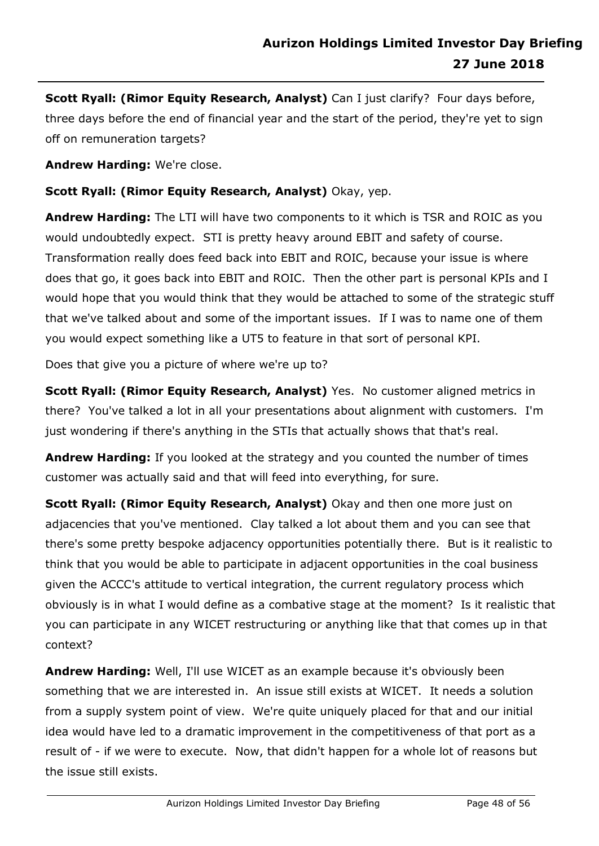**Scott Ryall: (Rimor Equity Research, Analyst)** Can I just clarify? Four days before, three days before the end of financial year and the start of the period, they're yet to sign off on remuneration targets?

**Andrew Harding:** We're close.

**Scott Ryall: (Rimor Equity Research, Analyst)** Okay, yep.

**Andrew Harding:** The LTI will have two components to it which is TSR and ROIC as you would undoubtedly expect. STI is pretty heavy around EBIT and safety of course. Transformation really does feed back into EBIT and ROIC, because your issue is where does that go, it goes back into EBIT and ROIC. Then the other part is personal KPIs and I would hope that you would think that they would be attached to some of the strategic stuff that we've talked about and some of the important issues. If I was to name one of them you would expect something like a UT5 to feature in that sort of personal KPI.

Does that give you a picture of where we're up to?

**Scott Ryall: (Rimor Equity Research, Analyst)** Yes. No customer aligned metrics in there? You've talked a lot in all your presentations about alignment with customers. I'm just wondering if there's anything in the STIs that actually shows that that's real.

**Andrew Harding:** If you looked at the strategy and you counted the number of times customer was actually said and that will feed into everything, for sure.

**Scott Ryall: (Rimor Equity Research, Analyst)** Okay and then one more just on adjacencies that you've mentioned. Clay talked a lot about them and you can see that there's some pretty bespoke adjacency opportunities potentially there. But is it realistic to think that you would be able to participate in adjacent opportunities in the coal business given the ACCC's attitude to vertical integration, the current regulatory process which obviously is in what I would define as a combative stage at the moment? Is it realistic that you can participate in any WICET restructuring or anything like that that comes up in that context?

**Andrew Harding:** Well, I'll use WICET as an example because it's obviously been something that we are interested in. An issue still exists at WICET. It needs a solution from a supply system point of view. We're quite uniquely placed for that and our initial idea would have led to a dramatic improvement in the competitiveness of that port as a result of - if we were to execute. Now, that didn't happen for a whole lot of reasons but the issue still exists.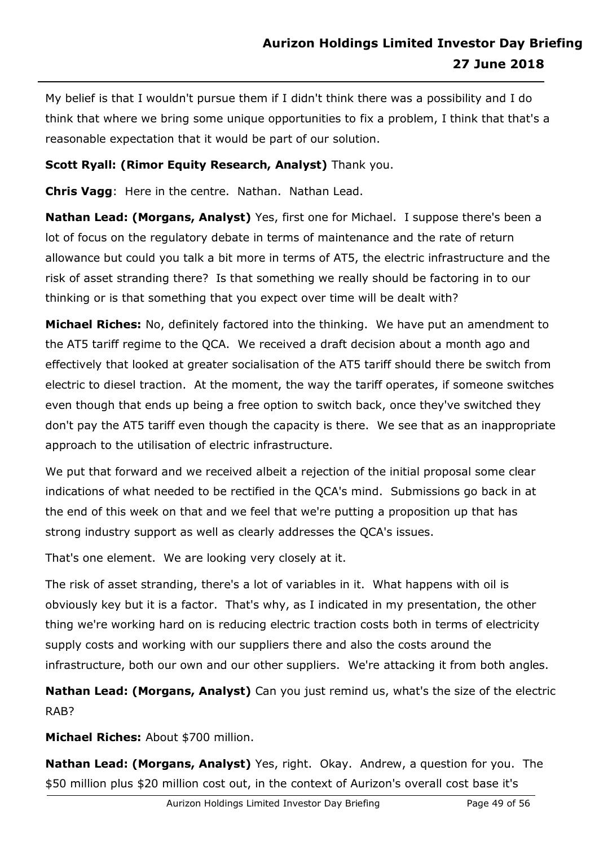My belief is that I wouldn't pursue them if I didn't think there was a possibility and I do think that where we bring some unique opportunities to fix a problem, I think that that's a reasonable expectation that it would be part of our solution.

# **Scott Ryall: (Rimor Equity Research, Analyst)** Thank you.

**Chris Vagg**: Here in the centre. Nathan. Nathan Lead.

**Nathan Lead: (Morgans, Analyst)** Yes, first one for Michael. I suppose there's been a lot of focus on the regulatory debate in terms of maintenance and the rate of return allowance but could you talk a bit more in terms of AT5, the electric infrastructure and the risk of asset stranding there? Is that something we really should be factoring in to our thinking or is that something that you expect over time will be dealt with?

**Michael Riches:** No, definitely factored into the thinking. We have put an amendment to the AT5 tariff regime to the QCA. We received a draft decision about a month ago and effectively that looked at greater socialisation of the AT5 tariff should there be switch from electric to diesel traction. At the moment, the way the tariff operates, if someone switches even though that ends up being a free option to switch back, once they've switched they don't pay the AT5 tariff even though the capacity is there. We see that as an inappropriate approach to the utilisation of electric infrastructure.

We put that forward and we received albeit a rejection of the initial proposal some clear indications of what needed to be rectified in the QCA's mind. Submissions go back in at the end of this week on that and we feel that we're putting a proposition up that has strong industry support as well as clearly addresses the QCA's issues.

That's one element. We are looking very closely at it.

The risk of asset stranding, there's a lot of variables in it. What happens with oil is obviously key but it is a factor. That's why, as I indicated in my presentation, the other thing we're working hard on is reducing electric traction costs both in terms of electricity supply costs and working with our suppliers there and also the costs around the infrastructure, both our own and our other suppliers. We're attacking it from both angles.

**Nathan Lead: (Morgans, Analyst)** Can you just remind us, what's the size of the electric RAB?

**Michael Riches:** About \$700 million.

**Nathan Lead: (Morgans, Analyst)** Yes, right. Okay. Andrew, a question for you. The \$50 million plus \$20 million cost out, in the context of Aurizon's overall cost base it's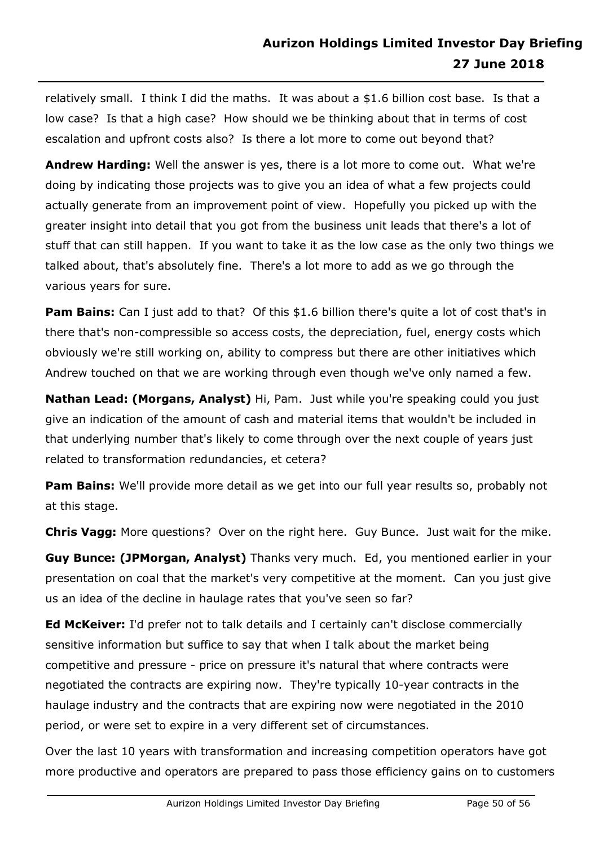relatively small. I think I did the maths. It was about a \$1.6 billion cost base. Is that a low case? Is that a high case? How should we be thinking about that in terms of cost escalation and upfront costs also? Is there a lot more to come out beyond that?

**Andrew Harding:** Well the answer is yes, there is a lot more to come out. What we're doing by indicating those projects was to give you an idea of what a few projects could actually generate from an improvement point of view. Hopefully you picked up with the greater insight into detail that you got from the business unit leads that there's a lot of stuff that can still happen. If you want to take it as the low case as the only two things we talked about, that's absolutely fine. There's a lot more to add as we go through the various years for sure.

**Pam Bains:** Can I just add to that? Of this \$1.6 billion there's quite a lot of cost that's in there that's non-compressible so access costs, the depreciation, fuel, energy costs which obviously we're still working on, ability to compress but there are other initiatives which Andrew touched on that we are working through even though we've only named a few.

**Nathan Lead: (Morgans, Analyst)** Hi, Pam. Just while you're speaking could you just give an indication of the amount of cash and material items that wouldn't be included in that underlying number that's likely to come through over the next couple of years just related to transformation redundancies, et cetera?

**Pam Bains:** We'll provide more detail as we get into our full year results so, probably not at this stage.

**Chris Vagg:** More questions? Over on the right here. Guy Bunce. Just wait for the mike.

**Guy Bunce: (JPMorgan, Analyst)** Thanks very much. Ed, you mentioned earlier in your presentation on coal that the market's very competitive at the moment. Can you just give us an idea of the decline in haulage rates that you've seen so far?

**Ed McKeiver:** I'd prefer not to talk details and I certainly can't disclose commercially sensitive information but suffice to say that when I talk about the market being competitive and pressure - price on pressure it's natural that where contracts were negotiated the contracts are expiring now. They're typically 10-year contracts in the haulage industry and the contracts that are expiring now were negotiated in the 2010 period, or were set to expire in a very different set of circumstances.

Over the last 10 years with transformation and increasing competition operators have got more productive and operators are prepared to pass those efficiency gains on to customers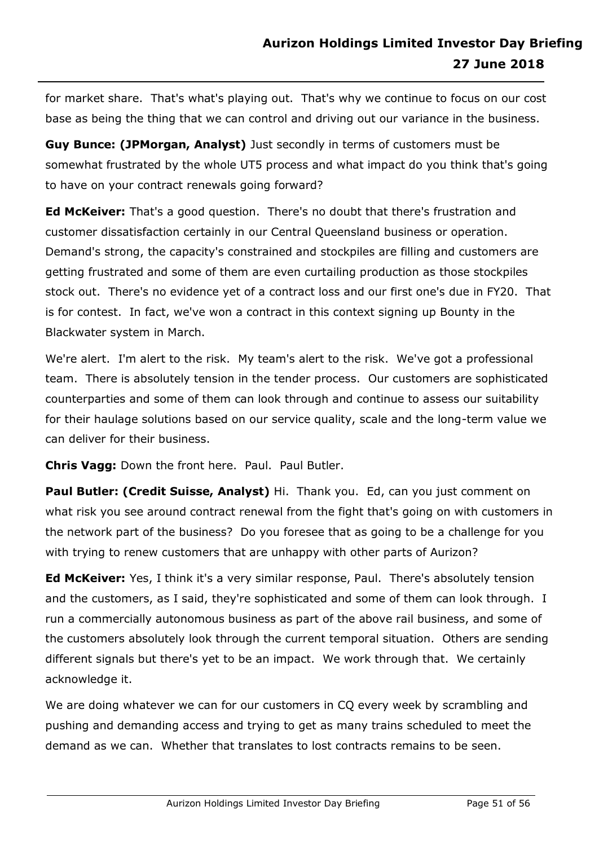for market share. That's what's playing out. That's why we continue to focus on our cost base as being the thing that we can control and driving out our variance in the business.

**Guy Bunce: (JPMorgan, Analyst)** Just secondly in terms of customers must be somewhat frustrated by the whole UT5 process and what impact do you think that's going to have on your contract renewals going forward?

**Ed McKeiver:** That's a good question. There's no doubt that there's frustration and customer dissatisfaction certainly in our Central Queensland business or operation. Demand's strong, the capacity's constrained and stockpiles are filling and customers are getting frustrated and some of them are even curtailing production as those stockpiles stock out. There's no evidence yet of a contract loss and our first one's due in FY20. That is for contest. In fact, we've won a contract in this context signing up Bounty in the Blackwater system in March.

We're alert. I'm alert to the risk. My team's alert to the risk. We've got a professional team. There is absolutely tension in the tender process. Our customers are sophisticated counterparties and some of them can look through and continue to assess our suitability for their haulage solutions based on our service quality, scale and the long-term value we can deliver for their business.

**Chris Vagg:** Down the front here. Paul. Paul Butler.

**Paul Butler: (Credit Suisse, Analyst)** Hi. Thank you. Ed, can you just comment on what risk you see around contract renewal from the fight that's going on with customers in the network part of the business? Do you foresee that as going to be a challenge for you with trying to renew customers that are unhappy with other parts of Aurizon?

**Ed McKeiver:** Yes, I think it's a very similar response, Paul. There's absolutely tension and the customers, as I said, they're sophisticated and some of them can look through. I run a commercially autonomous business as part of the above rail business, and some of the customers absolutely look through the current temporal situation. Others are sending different signals but there's yet to be an impact. We work through that. We certainly acknowledge it.

We are doing whatever we can for our customers in CQ every week by scrambling and pushing and demanding access and trying to get as many trains scheduled to meet the demand as we can. Whether that translates to lost contracts remains to be seen.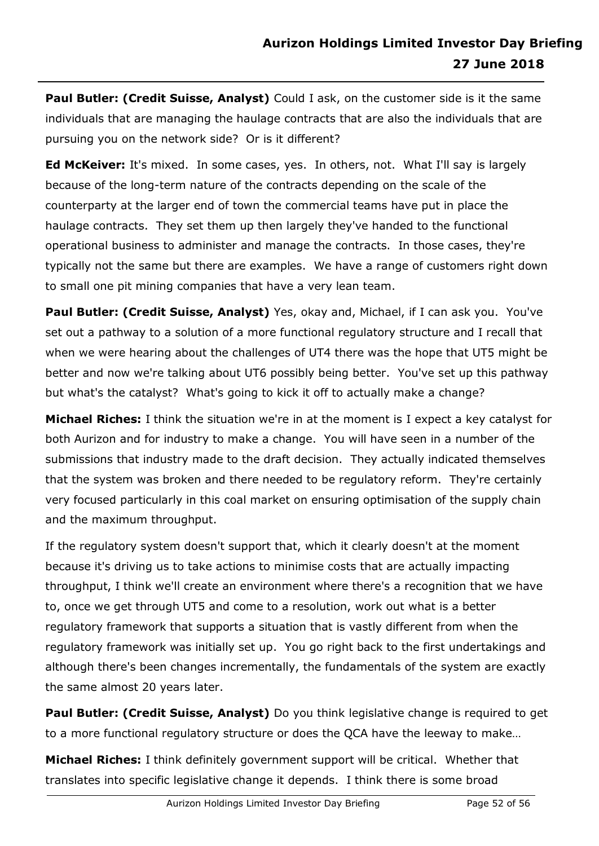**Paul Butler: (Credit Suisse, Analyst)** Could I ask, on the customer side is it the same individuals that are managing the haulage contracts that are also the individuals that are pursuing you on the network side? Or is it different?

**Ed McKeiver:** It's mixed. In some cases, yes. In others, not. What I'll say is largely because of the long-term nature of the contracts depending on the scale of the counterparty at the larger end of town the commercial teams have put in place the haulage contracts. They set them up then largely they've handed to the functional operational business to administer and manage the contracts. In those cases, they're typically not the same but there are examples. We have a range of customers right down to small one pit mining companies that have a very lean team.

Paul Butler: (Credit Suisse, Analyst) Yes, okay and, Michael, if I can ask you. You've set out a pathway to a solution of a more functional regulatory structure and I recall that when we were hearing about the challenges of UT4 there was the hope that UT5 might be better and now we're talking about UT6 possibly being better. You've set up this pathway but what's the catalyst? What's going to kick it off to actually make a change?

**Michael Riches:** I think the situation we're in at the moment is I expect a key catalyst for both Aurizon and for industry to make a change. You will have seen in a number of the submissions that industry made to the draft decision. They actually indicated themselves that the system was broken and there needed to be regulatory reform. They're certainly very focused particularly in this coal market on ensuring optimisation of the supply chain and the maximum throughput.

If the regulatory system doesn't support that, which it clearly doesn't at the moment because it's driving us to take actions to minimise costs that are actually impacting throughput, I think we'll create an environment where there's a recognition that we have to, once we get through UT5 and come to a resolution, work out what is a better regulatory framework that supports a situation that is vastly different from when the regulatory framework was initially set up. You go right back to the first undertakings and although there's been changes incrementally, the fundamentals of the system are exactly the same almost 20 years later.

**Paul Butler: (Credit Suisse, Analyst)** Do you think legislative change is required to get to a more functional regulatory structure or does the QCA have the leeway to make…

**Michael Riches:** I think definitely government support will be critical. Whether that translates into specific legislative change it depends. I think there is some broad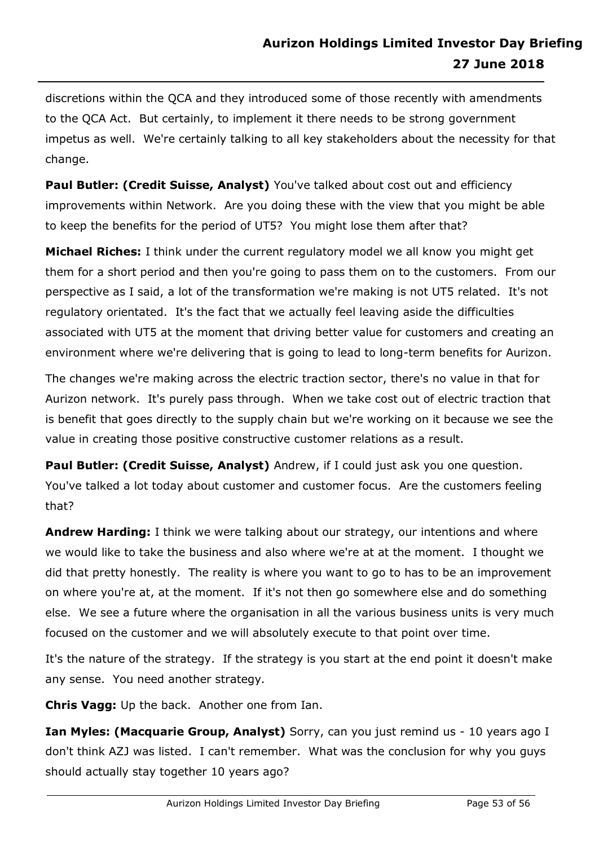discretions within the QCA and they introduced some of those recently with amendments to the QCA Act. But certainly, to implement it there needs to be strong government impetus as well. We're certainly talking to all key stakeholders about the necessity for that change.

**Paul Butler: (Credit Suisse, Analyst)** You've talked about cost out and efficiency improvements within Network. Are you doing these with the view that you might be able to keep the benefits for the period of UT5? You might lose them after that?

**Michael Riches:** I think under the current regulatory model we all know you might get them for a short period and then you're going to pass them on to the customers. From our perspective as I said, a lot of the transformation we're making is not UT5 related. It's not regulatory orientated. It's the fact that we actually feel leaving aside the difficulties associated with UT5 at the moment that driving better value for customers and creating an environment where we're delivering that is going to lead to long-term benefits for Aurizon.

The changes we're making across the electric traction sector, there's no value in that for Aurizon network. It's purely pass through. When we take cost out of electric traction that is benefit that goes directly to the supply chain but we're working on it because we see the value in creating those positive constructive customer relations as a result.

**Paul Butler: (Credit Suisse, Analyst)** Andrew, if I could just ask you one question. You've talked a lot today about customer and customer focus. Are the customers feeling that?

**Andrew Harding:** I think we were talking about our strategy, our intentions and where we would like to take the business and also where we're at at the moment. I thought we did that pretty honestly. The reality is where you want to go to has to be an improvement on where you're at, at the moment. If it's not then go somewhere else and do something else. We see a future where the organisation in all the various business units is very much focused on the customer and we will absolutely execute to that point over time.

It's the nature of the strategy. If the strategy is you start at the end point it doesn't make any sense. You need another strategy.

**Chris Vagg:** Up the back. Another one from Ian.

**Ian Myles: (Macquarie Group, Analyst)** Sorry, can you just remind us - 10 years ago I don't think AZJ was listed. I can't remember. What was the conclusion for why you guys should actually stay together 10 years ago?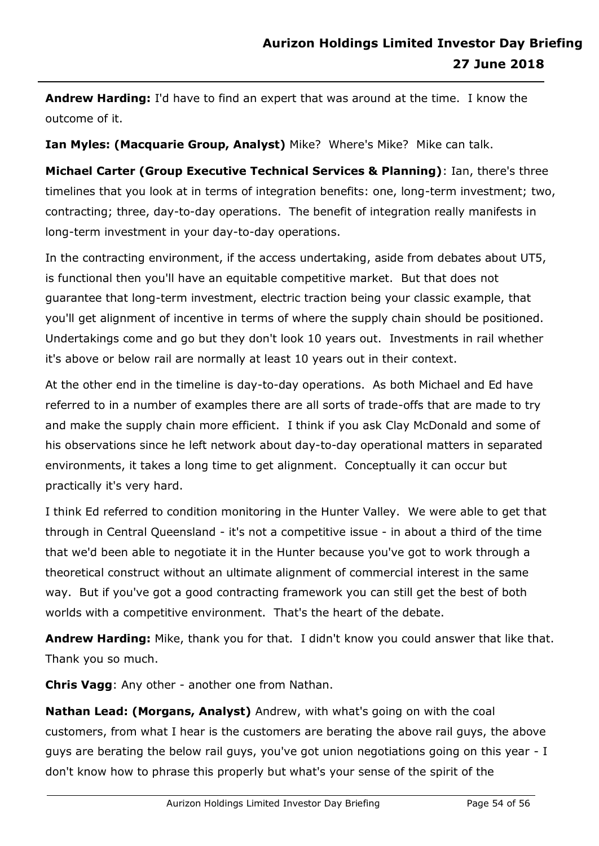**Andrew Harding:** I'd have to find an expert that was around at the time. I know the outcome of it.

**Ian Myles: (Macquarie Group, Analyst)** Mike? Where's Mike? Mike can talk.

**Michael Carter (Group Executive Technical Services & Planning)**: Ian, there's three timelines that you look at in terms of integration benefits: one, long-term investment; two, contracting; three, day-to-day operations. The benefit of integration really manifests in long-term investment in your day-to-day operations.

In the contracting environment, if the access undertaking, aside from debates about UT5, is functional then you'll have an equitable competitive market. But that does not guarantee that long-term investment, electric traction being your classic example, that you'll get alignment of incentive in terms of where the supply chain should be positioned. Undertakings come and go but they don't look 10 years out. Investments in rail whether it's above or below rail are normally at least 10 years out in their context.

At the other end in the timeline is day-to-day operations. As both Michael and Ed have referred to in a number of examples there are all sorts of trade-offs that are made to try and make the supply chain more efficient. I think if you ask Clay McDonald and some of his observations since he left network about day-to-day operational matters in separated environments, it takes a long time to get alignment. Conceptually it can occur but practically it's very hard.

I think Ed referred to condition monitoring in the Hunter Valley. We were able to get that through in Central Queensland - it's not a competitive issue - in about a third of the time that we'd been able to negotiate it in the Hunter because you've got to work through a theoretical construct without an ultimate alignment of commercial interest in the same way. But if you've got a good contracting framework you can still get the best of both worlds with a competitive environment. That's the heart of the debate.

**Andrew Harding:** Mike, thank you for that. I didn't know you could answer that like that. Thank you so much.

**Chris Vagg**: Any other - another one from Nathan.

**Nathan Lead: (Morgans, Analyst)** Andrew, with what's going on with the coal customers, from what I hear is the customers are berating the above rail guys, the above guys are berating the below rail guys, you've got union negotiations going on this year - I don't know how to phrase this properly but what's your sense of the spirit of the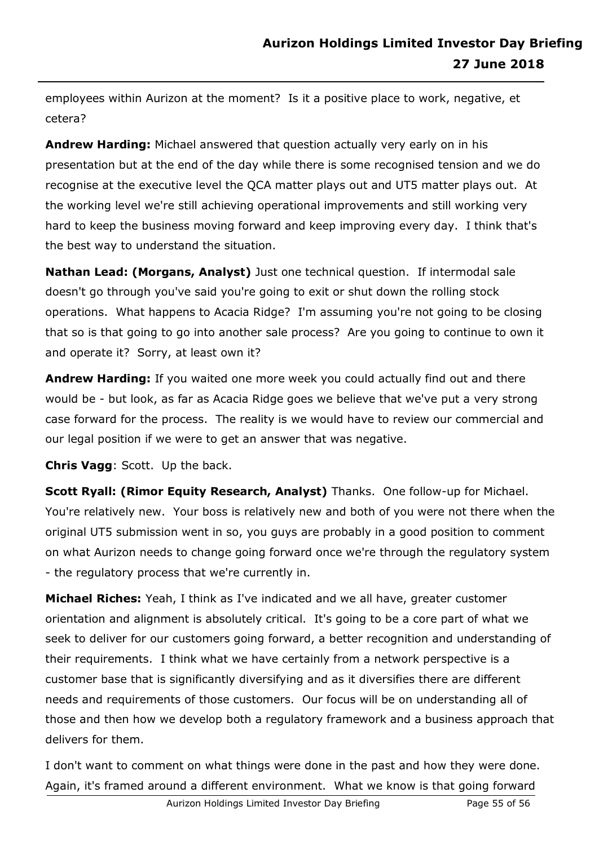employees within Aurizon at the moment? Is it a positive place to work, negative, et cetera?

**Andrew Harding:** Michael answered that question actually very early on in his presentation but at the end of the day while there is some recognised tension and we do recognise at the executive level the QCA matter plays out and UT5 matter plays out. At the working level we're still achieving operational improvements and still working very hard to keep the business moving forward and keep improving every day. I think that's the best way to understand the situation.

**Nathan Lead: (Morgans, Analyst)** Just one technical question. If intermodal sale doesn't go through you've said you're going to exit or shut down the rolling stock operations. What happens to Acacia Ridge? I'm assuming you're not going to be closing that so is that going to go into another sale process? Are you going to continue to own it and operate it? Sorry, at least own it?

**Andrew Harding:** If you waited one more week you could actually find out and there would be - but look, as far as Acacia Ridge goes we believe that we've put a very strong case forward for the process. The reality is we would have to review our commercial and our legal position if we were to get an answer that was negative.

**Chris Vagg**: Scott. Up the back.

**Scott Ryall: (Rimor Equity Research, Analyst)** Thanks. One follow-up for Michael. You're relatively new. Your boss is relatively new and both of you were not there when the original UT5 submission went in so, you guys are probably in a good position to comment on what Aurizon needs to change going forward once we're through the regulatory system - the regulatory process that we're currently in.

**Michael Riches:** Yeah, I think as I've indicated and we all have, greater customer orientation and alignment is absolutely critical. It's going to be a core part of what we seek to deliver for our customers going forward, a better recognition and understanding of their requirements. I think what we have certainly from a network perspective is a customer base that is significantly diversifying and as it diversifies there are different needs and requirements of those customers. Our focus will be on understanding all of those and then how we develop both a regulatory framework and a business approach that delivers for them.

I don't want to comment on what things were done in the past and how they were done. Again, it's framed around a different environment. What we know is that going forward